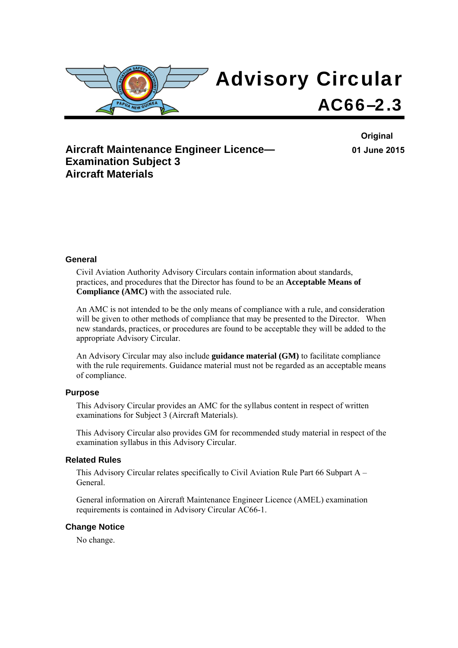

**Aircraft Maintenance Engineer Licence— Examination Subject 3 Aircraft Materials** 

**Original 01 June 2015**

#### **General**

Civil Aviation Authority Advisory Circulars contain information about standards, practices, and procedures that the Director has found to be an **Acceptable Means of Compliance (AMC)** with the associated rule.

An AMC is not intended to be the only means of compliance with a rule, and consideration will be given to other methods of compliance that may be presented to the Director. When new standards, practices, or procedures are found to be acceptable they will be added to the appropriate Advisory Circular.

An Advisory Circular may also include **guidance material (GM)** to facilitate compliance with the rule requirements. Guidance material must not be regarded as an acceptable means of compliance.

#### **Purpose**

This Advisory Circular provides an AMC for the syllabus content in respect of written examinations for Subject 3 (Aircraft Materials).

This Advisory Circular also provides GM for recommended study material in respect of the examination syllabus in this Advisory Circular.

#### **Related Rules**

This Advisory Circular relates specifically to Civil Aviation Rule Part 66 Subpart A – General.

General information on Aircraft Maintenance Engineer Licence (AMEL) examination requirements is contained in Advisory Circular AC66-1.

#### **Change Notice**

No change.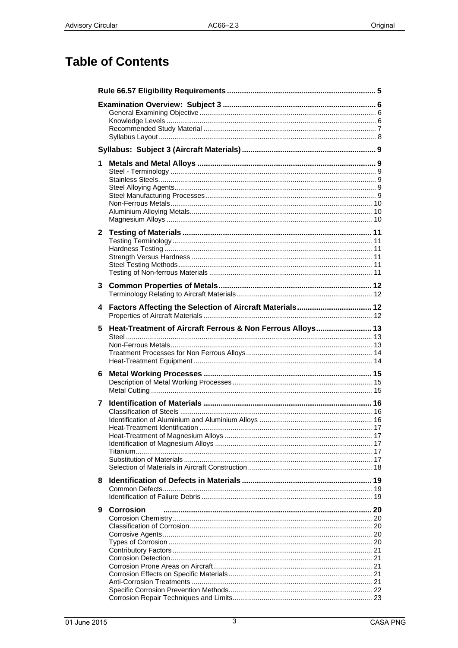# **Table of Contents**

| 1            |                                                            |  |
|--------------|------------------------------------------------------------|--|
| $\mathbf{2}$ |                                                            |  |
| 3            |                                                            |  |
| 4            | Factors Affecting the Selection of Aircraft Materials 12   |  |
| 5.           | Heat-Treatment of Aircraft Ferrous & Non Ferrous Alloys 13 |  |
| 6            |                                                            |  |
| 7            |                                                            |  |
| 8            |                                                            |  |
| 9            | <b>Corrosion</b>                                           |  |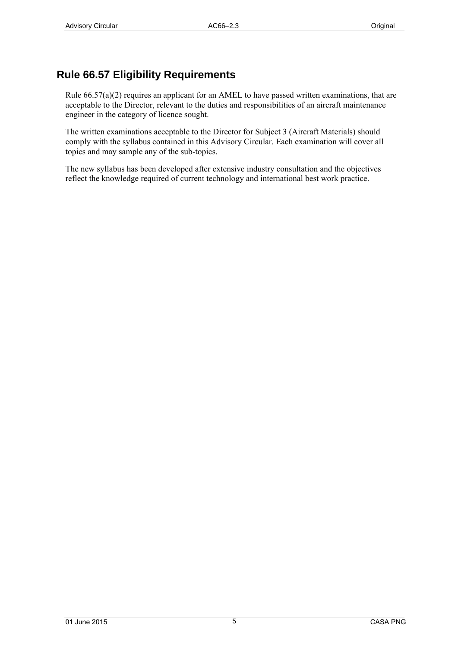## <span id="page-4-0"></span>**Rule 66.57 Eligibility Requirements**

Rule 66.57(a)(2) requires an applicant for an AMEL to have passed written examinations, that are acceptable to the Director, relevant to the duties and responsibilities of an aircraft maintenance engineer in the category of licence sought.

The written examinations acceptable to the Director for Subject 3 (Aircraft Materials) should comply with the syllabus contained in this Advisory Circular. Each examination will cover all topics and may sample any of the sub-topics.

The new syllabus has been developed after extensive industry consultation and the objectives reflect the knowledge required of current technology and international best work practice.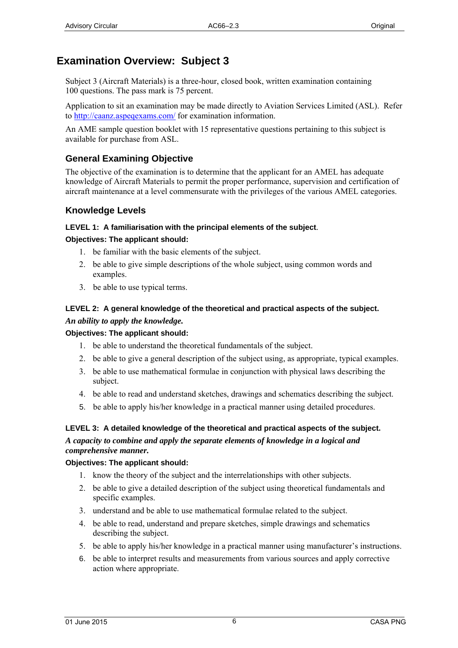# <span id="page-5-0"></span>**Examination Overview: Subject 3**

Subject 3 (Aircraft Materials) is a three-hour, closed book, written examination containing 100 questions. The pass mark is 75 percent.

Application to sit an examination may be made directly to Aviation Services Limited (ASL). Refer to [http://caanz.aspeqex](http://www.aviation.co.nz/)ams.com/ for examination information.

An AME sample question booklet with 15 representative questions pertaining to this subject is available for purchase from ASL.

## **General Examining Objective**

The objective of the examination is to determine that the applicant for an AMEL has adequate knowledge of Aircraft Materials to permit the proper performance, supervision and certification of aircraft maintenance at a level commensurate with the privileges of the various AMEL categories.

## **Knowledge Levels**

## **LEVEL 1: A familiarisation with the principal elements of the subject***.*

## **Objectives: The applicant should:**

- 1. be familiar with the basic elements of the subject.
- 2. be able to give simple descriptions of the whole subject, using common words and examples.
- 3. be able to use typical terms.

### **LEVEL 2: A general knowledge of the theoretical and practical aspects of the subject.**  *An ability to apply the knowledge.*

## **Objectives: The applicant should:**

- 1. be able to understand the theoretical fundamentals of the subject.
- 2. be able to give a general description of the subject using, as appropriate, typical examples.
- 3. be able to use mathematical formulae in conjunction with physical laws describing the subject.
- 4. be able to read and understand sketches, drawings and schematics describing the subject.
- 5. be able to apply his/her knowledge in a practical manner using detailed procedures.

#### **LEVEL 3: A detailed knowledge of the theoretical and practical aspects of the subject.**  *A capacity to combine and apply the separate elements of knowledge in a logical and comprehensive manner.*

## **Objectives: The applicant should:**

- 1. know the theory of the subject and the interrelationships with other subjects.
- 2. be able to give a detailed description of the subject using theoretical fundamentals and specific examples.
- 3. understand and be able to use mathematical formulae related to the subject.
- 4. be able to read, understand and prepare sketches, simple drawings and schematics describing the subject.
- 5. be able to apply his/her knowledge in a practical manner using manufacturer's instructions.
- 6. be able to interpret results and measurements from various sources and apply corrective action where appropriate.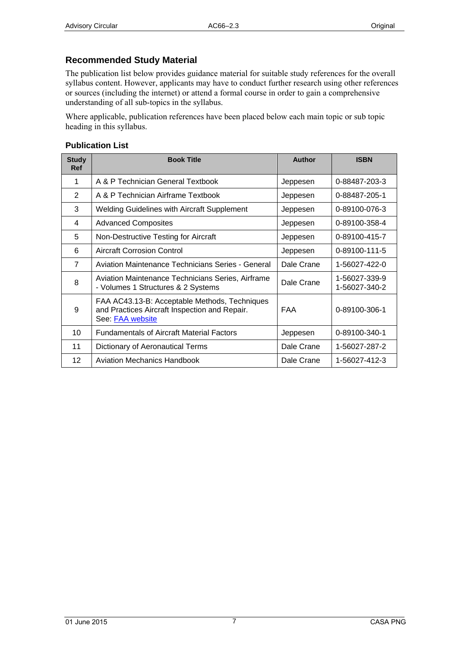### <span id="page-6-0"></span>**Recommended Study Material**

The publication list below provides guidance material for suitable study references for the overall syllabus content. However, applicants may have to conduct further research using other references or sources (including the internet) or attend a formal course in order to gain a comprehensive understanding of all sub-topics in the syllabus.

Where applicable, publication references have been placed below each main topic or sub topic heading in this syllabus.

#### **Publication List**

| <b>Study</b><br><b>Ref</b> | <b>Book Title</b>                                                                                                  | Author     | <b>ISBN</b>                    |
|----------------------------|--------------------------------------------------------------------------------------------------------------------|------------|--------------------------------|
| 1                          | A & P Technician General Textbook                                                                                  | Jeppesen   | 0-88487-203-3                  |
| 2                          | A & P Technician Airframe Textbook                                                                                 | Jeppesen   | 0-88487-205-1                  |
| 3                          | <b>Welding Guidelines with Aircraft Supplement</b>                                                                 | Jeppesen   | 0-89100-076-3                  |
| 4                          | <b>Advanced Composites</b>                                                                                         | Jeppesen   | 0-89100-358-4                  |
| 5                          | Non-Destructive Testing for Aircraft                                                                               | Jeppesen   | 0-89100-415-7                  |
| 6                          | Aircraft Corrosion Control                                                                                         | Jeppesen   | 0-89100-111-5                  |
| $\overline{7}$             | Aviation Maintenance Technicians Series - General                                                                  | Dale Crane | 1-56027-422-0                  |
| 8                          | Aviation Maintenance Technicians Series, Airframe<br>- Volumes 1 Structures & 2 Systems                            | Dale Crane | 1-56027-339-9<br>1-56027-340-2 |
| 9                          | FAA AC43.13-B: Acceptable Methods, Techniques<br>and Practices Aircraft Inspection and Repair.<br>See: FAA website | <b>FAA</b> | 0-89100-306-1                  |
| 10                         | <b>Fundamentals of Aircraft Material Factors</b>                                                                   | Jeppesen   | 0-89100-340-1                  |
| 11                         | Dictionary of Aeronautical Terms                                                                                   | Dale Crane | 1-56027-287-2                  |
| 12                         | Aviation Mechanics Handbook                                                                                        | Dale Crane | 1-56027-412-3                  |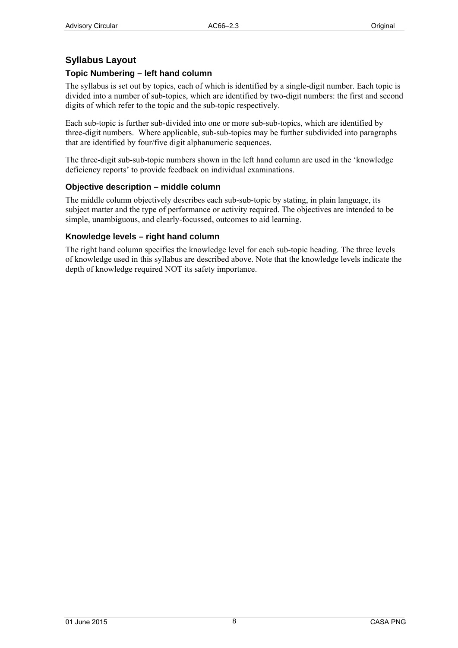## <span id="page-7-0"></span>**Syllabus Layout**

### **Topic Numbering – left hand column**

The syllabus is set out by topics, each of which is identified by a single-digit number. Each topic is divided into a number of sub-topics, which are identified by two-digit numbers: the first and second digits of which refer to the topic and the sub-topic respectively.

Each sub-topic is further sub-divided into one or more sub-sub-topics, which are identified by three-digit numbers. Where applicable, sub-sub-topics may be further subdivided into paragraphs that are identified by four/five digit alphanumeric sequences.

The three-digit sub-sub-topic numbers shown in the left hand column are used in the 'knowledge deficiency reports' to provide feedback on individual examinations.

#### **Objective description – middle column**

The middle column objectively describes each sub-sub-topic by stating, in plain language, its subject matter and the type of performance or activity required. The objectives are intended to be simple, unambiguous, and clearly-focussed, outcomes to aid learning.

#### **Knowledge levels – right hand column**

The right hand column specifies the knowledge level for each sub-topic heading. The three levels of knowledge used in this syllabus are described above. Note that the knowledge levels indicate the depth of knowledge required NOT its safety importance.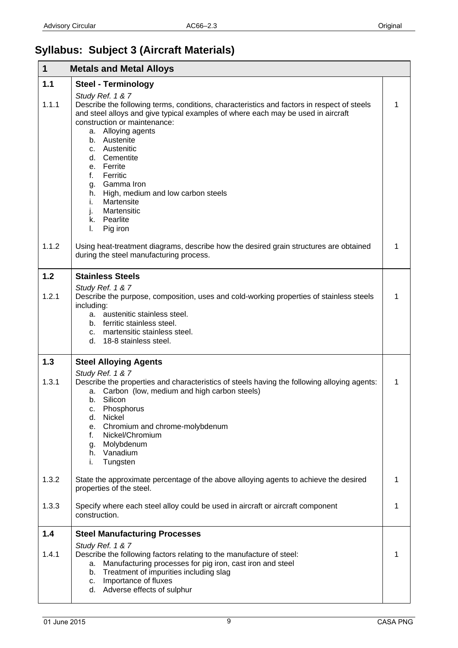# <span id="page-8-0"></span>**Syllabus: Subject 3 (Aircraft Materials)**

| 1     | <b>Metals and Metal Alloys</b>                                                                                                                                                                                                                                                                                                                                                                                                                                                |   |
|-------|-------------------------------------------------------------------------------------------------------------------------------------------------------------------------------------------------------------------------------------------------------------------------------------------------------------------------------------------------------------------------------------------------------------------------------------------------------------------------------|---|
| 1.1   | <b>Steel - Terminology</b>                                                                                                                                                                                                                                                                                                                                                                                                                                                    |   |
| 1.1.1 | Study Ref. 1 & 7<br>Describe the following terms, conditions, characteristics and factors in respect of steels<br>and steel alloys and give typical examples of where each may be used in aircraft<br>construction or maintenance:<br>a. Alloying agents<br>b. Austenite<br>c. Austenitic<br>d. Cementite<br>e. Ferrite<br>f.<br>Ferritic<br>g. Gamma Iron<br>h. High, medium and low carbon steels<br>Martensite<br>İ.<br>Martensitic<br>j.<br>k. Pearlite<br>Pig iron<br>I. | 1 |
| 1.1.2 | Using heat-treatment diagrams, describe how the desired grain structures are obtained<br>during the steel manufacturing process.                                                                                                                                                                                                                                                                                                                                              | 1 |
| 1.2   | <b>Stainless Steels</b>                                                                                                                                                                                                                                                                                                                                                                                                                                                       |   |
| 1.2.1 | Study Ref. 1 & 7<br>Describe the purpose, composition, uses and cold-working properties of stainless steels<br>including:<br>a. austenitic stainless steel.<br>b. ferritic stainless steel.<br>c. martensitic stainless steel.<br>d. 18-8 stainless steel.                                                                                                                                                                                                                    | 1 |
| 1.3   | <b>Steel Alloying Agents</b>                                                                                                                                                                                                                                                                                                                                                                                                                                                  |   |
| 1.3.1 | Study Ref. 1 & 7<br>Describe the properties and characteristics of steels having the following alloying agents:<br>Carbon (low, medium and high carbon steels)<br>а.<br>b. Silicon<br>Phosphorus<br>c.<br>Nickel<br>d.<br>Chromium and chrome-molybdenum<br>е.<br>Nickel/Chromium<br>f.<br>Molybdenum<br>g.<br>h. Vanadium<br>Tungsten<br>i.                                                                                                                                  | 1 |
| 1.3.2 | State the approximate percentage of the above alloying agents to achieve the desired<br>properties of the steel.                                                                                                                                                                                                                                                                                                                                                              |   |
| 1.3.3 | Specify where each steel alloy could be used in aircraft or aircraft component<br>construction.                                                                                                                                                                                                                                                                                                                                                                               | 1 |
| 1.4   | <b>Steel Manufacturing Processes</b>                                                                                                                                                                                                                                                                                                                                                                                                                                          |   |
| 1.4.1 | Study Ref. 1 & 7<br>Describe the following factors relating to the manufacture of steel:<br>Manufacturing processes for pig iron, cast iron and steel<br>a.<br>Treatment of impurities including slag<br>b.<br>c. Importance of fluxes<br>d. Adverse effects of sulphur                                                                                                                                                                                                       | 1 |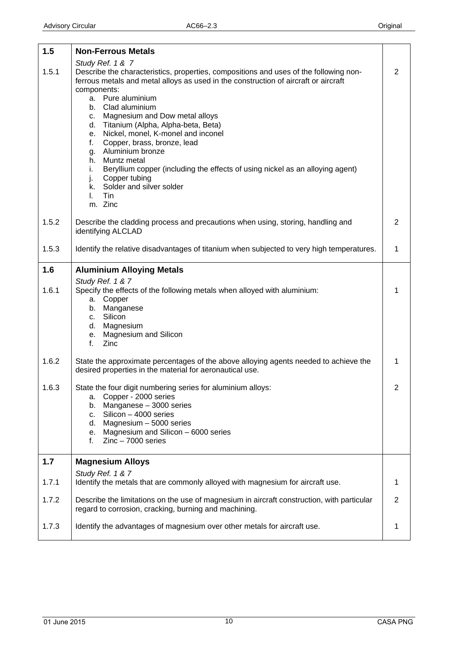<span id="page-9-0"></span>

| 1.5   | <b>Non-Ferrous Metals</b>                                                                                                                                                                                                                                                                                                                                                                                                                                                                                                                                                                                                                       |                |
|-------|-------------------------------------------------------------------------------------------------------------------------------------------------------------------------------------------------------------------------------------------------------------------------------------------------------------------------------------------------------------------------------------------------------------------------------------------------------------------------------------------------------------------------------------------------------------------------------------------------------------------------------------------------|----------------|
| 1.5.1 | Study Ref. 1 & 7<br>Describe the characteristics, properties, compositions and uses of the following non-<br>ferrous metals and metal alloys as used in the construction of aircraft or aircraft<br>components:<br>a. Pure aluminium<br>Clad aluminium<br>b.<br>c. Magnesium and Dow metal alloys<br>d. Titanium (Alpha, Alpha-beta, Beta)<br>Nickel, monel, K-monel and inconel<br>е.<br>Copper, brass, bronze, lead<br>f.<br>Aluminium bronze<br>g.<br>Muntz metal<br>h.<br>Beryllium copper (including the effects of using nickel as an alloying agent)<br>i.<br>Copper tubing<br>j.<br>k. Solder and silver solder<br>Tin<br>L.<br>m. Zinc | $\overline{2}$ |
| 1.5.2 | Describe the cladding process and precautions when using, storing, handling and<br>identifying ALCLAD                                                                                                                                                                                                                                                                                                                                                                                                                                                                                                                                           | 2              |
| 1.5.3 | Identify the relative disadvantages of titanium when subjected to very high temperatures.                                                                                                                                                                                                                                                                                                                                                                                                                                                                                                                                                       | 1              |
| 1.6   | <b>Aluminium Alloying Metals</b>                                                                                                                                                                                                                                                                                                                                                                                                                                                                                                                                                                                                                |                |
| 1.6.1 | Study Ref. 1 & 7<br>Specify the effects of the following metals when alloyed with aluminium:<br>a. Copper<br>b. Manganese<br>Silicon<br>C.<br>d. Magnesium<br>e. Magnesium and Silicon<br>Zinc<br>f.                                                                                                                                                                                                                                                                                                                                                                                                                                            | 1              |
| 1.6.2 | State the approximate percentages of the above alloying agents needed to achieve the<br>desired properties in the material for aeronautical use.                                                                                                                                                                                                                                                                                                                                                                                                                                                                                                | 1              |
| 1.6.3 | State the four digit numbering series for aluminium alloys:<br>a. Copper - 2000 series<br>Manganese - 3000 series<br>b.<br>Silicon - 4000 series<br>C.<br>Magnesium $-5000$ series<br>d.<br>Magnesium and Silicon - 6000 series<br>е.<br>$Zinc - 7000$ series<br>f.                                                                                                                                                                                                                                                                                                                                                                             | $\overline{c}$ |
| 1.7   | <b>Magnesium Alloys</b>                                                                                                                                                                                                                                                                                                                                                                                                                                                                                                                                                                                                                         |                |
| 1.7.1 | Study Ref. 1 & 7<br>Identify the metals that are commonly alloyed with magnesium for aircraft use.                                                                                                                                                                                                                                                                                                                                                                                                                                                                                                                                              | 1              |
| 1.7.2 | Describe the limitations on the use of magnesium in aircraft construction, with particular<br>regard to corrosion, cracking, burning and machining.                                                                                                                                                                                                                                                                                                                                                                                                                                                                                             | $\overline{2}$ |
| 1.7.3 | Identify the advantages of magnesium over other metals for aircraft use.                                                                                                                                                                                                                                                                                                                                                                                                                                                                                                                                                                        | 1              |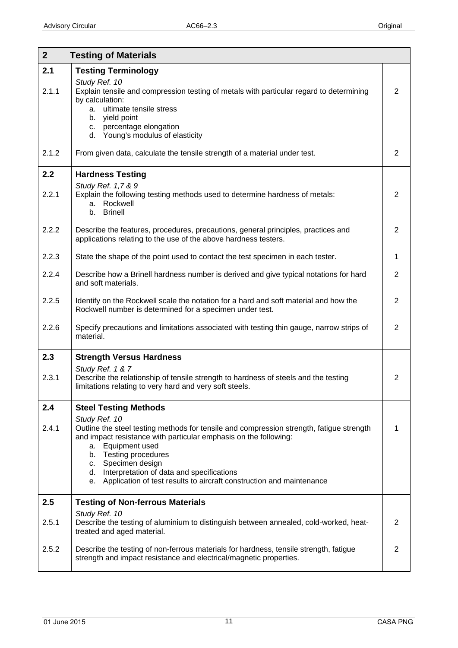<span id="page-10-0"></span>

| 2 <sup>1</sup> | <b>Testing of Materials</b>                                                                                                                                                                                                                                                                                                                                                                                  |                |
|----------------|--------------------------------------------------------------------------------------------------------------------------------------------------------------------------------------------------------------------------------------------------------------------------------------------------------------------------------------------------------------------------------------------------------------|----------------|
| 2.1<br>2.1.1   | <b>Testing Terminology</b><br>Study Ref. 10<br>Explain tensile and compression testing of metals with particular regard to determining<br>by calculation:<br>a. ultimate tensile stress<br>yield point<br>b.<br>c. percentage elongation<br>d. Young's modulus of elasticity                                                                                                                                 | $\overline{2}$ |
| 2.1.2          | From given data, calculate the tensile strength of a material under test.                                                                                                                                                                                                                                                                                                                                    | $\overline{2}$ |
| 2.2<br>2.2.1   | <b>Hardness Testing</b><br>Study Ref. 1,7 & 9<br>Explain the following testing methods used to determine hardness of metals:<br>a. Rockwell<br>b. Brinell                                                                                                                                                                                                                                                    | $\overline{2}$ |
| 2.2.2          | Describe the features, procedures, precautions, general principles, practices and<br>applications relating to the use of the above hardness testers.                                                                                                                                                                                                                                                         | $\overline{2}$ |
| 2.2.3          | State the shape of the point used to contact the test specimen in each tester.                                                                                                                                                                                                                                                                                                                               | $\mathbf{1}$   |
| 2.2.4          | Describe how a Brinell hardness number is derived and give typical notations for hard<br>and soft materials.                                                                                                                                                                                                                                                                                                 | $\overline{2}$ |
| 2.2.5          | Identify on the Rockwell scale the notation for a hard and soft material and how the<br>Rockwell number is determined for a specimen under test.                                                                                                                                                                                                                                                             | $\overline{2}$ |
| 2.2.6          | Specify precautions and limitations associated with testing thin gauge, narrow strips of<br>material.                                                                                                                                                                                                                                                                                                        | $\overline{2}$ |
| 2.3<br>2.3.1   | <b>Strength Versus Hardness</b><br>Study Ref. 1 & 7<br>Describe the relationship of tensile strength to hardness of steels and the testing<br>limitations relating to very hard and very soft steels.                                                                                                                                                                                                        | 2              |
| 2.4<br>2.4.1   | <b>Steel Testing Methods</b><br>Study Ref. 10<br>Outline the steel testing methods for tensile and compression strength, fatigue strength<br>and impact resistance with particular emphasis on the following:<br>a. Equipment used<br>b. Testing procedures<br>c. Specimen design<br>d. Interpretation of data and specifications<br>e. Application of test results to aircraft construction and maintenance | 1              |
| 2.5            | <b>Testing of Non-ferrous Materials</b>                                                                                                                                                                                                                                                                                                                                                                      |                |
| 2.5.1          | Study Ref. 10<br>Describe the testing of aluminium to distinguish between annealed, cold-worked, heat-<br>treated and aged material.                                                                                                                                                                                                                                                                         | 2              |
| 2.5.2          | Describe the testing of non-ferrous materials for hardness, tensile strength, fatigue<br>strength and impact resistance and electrical/magnetic properties.                                                                                                                                                                                                                                                  | $\overline{2}$ |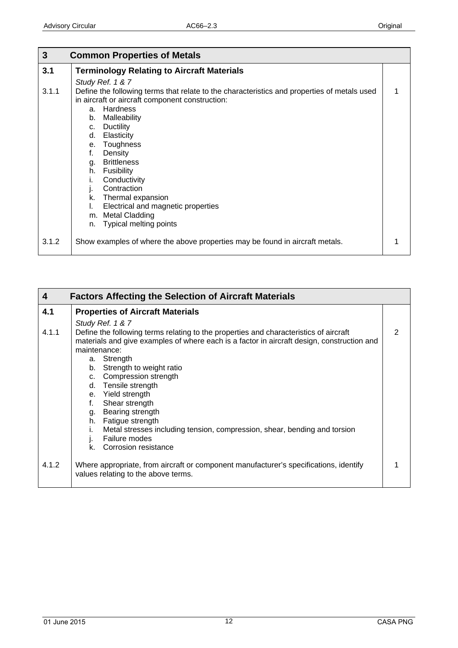<span id="page-11-0"></span>

| 3     | <b>Common Properties of Metals</b>                                                          |  |
|-------|---------------------------------------------------------------------------------------------|--|
| 3.1   | <b>Terminology Relating to Aircraft Materials</b>                                           |  |
|       | Study Ref. 1 & 7                                                                            |  |
| 3.1.1 | Define the following terms that relate to the characteristics and properties of metals used |  |
|       | in aircraft or aircraft component construction:                                             |  |
|       | Hardness<br>a.                                                                              |  |
|       | Malleability<br>b.                                                                          |  |
|       | <b>Ductility</b><br>$C_{\cdot}$                                                             |  |
|       | Elasticity<br>d.                                                                            |  |
|       | Toughness<br>е.                                                                             |  |
|       | Density<br>f.                                                                               |  |
|       | <b>Brittleness</b><br>g.                                                                    |  |
|       | Fusibility<br>h.                                                                            |  |
|       | Conductivity<br>ı.                                                                          |  |
|       | Contraction<br>Ŀ.                                                                           |  |
|       | Thermal expansion<br>k.                                                                     |  |
|       | Electrical and magnetic properties<br>I.                                                    |  |
|       | <b>Metal Cladding</b><br>m.                                                                 |  |
|       | <b>Typical melting points</b><br>n.                                                         |  |
| 3.1.2 | Show examples of where the above properties may be found in aircraft metals.                |  |

| 4     | <b>Factors Affecting the Selection of Aircraft Materials</b>                                                                                                                                                       |   |
|-------|--------------------------------------------------------------------------------------------------------------------------------------------------------------------------------------------------------------------|---|
| 4.1   | <b>Properties of Aircraft Materials</b>                                                                                                                                                                            |   |
|       | Study Ref. 1 & 7                                                                                                                                                                                                   |   |
| 4.1.1 | Define the following terms relating to the properties and characteristics of aircraft<br>materials and give examples of where each is a factor in aircraft design, construction and<br>maintenance:<br>a. Strength | 2 |
|       | b. Strength to weight ratio                                                                                                                                                                                        |   |
|       | c. Compression strength                                                                                                                                                                                            |   |
|       | Tensile strength<br>d.                                                                                                                                                                                             |   |
|       | e. Yield strength                                                                                                                                                                                                  |   |
|       | Shear strength<br>f.                                                                                                                                                                                               |   |
|       | g. Bearing strength                                                                                                                                                                                                |   |
|       | h. Fatigue strength<br>Metal stresses including tension, compression, shear, bending and torsion<br>Failure modes                                                                                                  |   |
|       | <b>Corrosion resistance</b><br>k.                                                                                                                                                                                  |   |
| 4.1.2 | Where appropriate, from aircraft or component manufacturer's specifications, identify<br>values relating to the above terms.                                                                                       |   |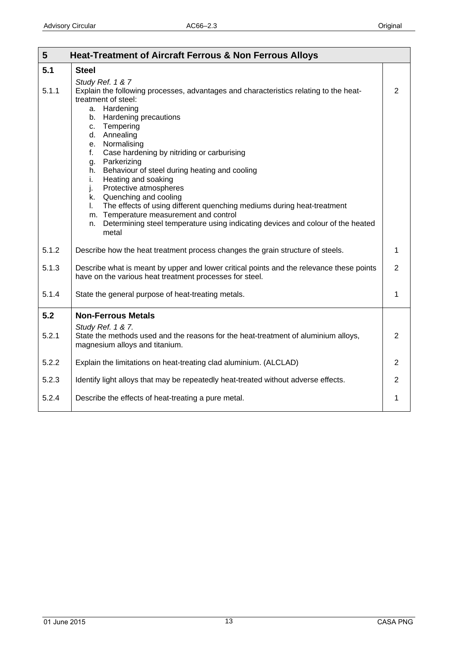<span id="page-12-0"></span>

| 5     | <b>Heat-Treatment of Aircraft Ferrous &amp; Non Ferrous Alloys</b>                                                                                                                                                                                                                                                                                                                                                                                                                                                                                                                                                                                                                     |                |
|-------|----------------------------------------------------------------------------------------------------------------------------------------------------------------------------------------------------------------------------------------------------------------------------------------------------------------------------------------------------------------------------------------------------------------------------------------------------------------------------------------------------------------------------------------------------------------------------------------------------------------------------------------------------------------------------------------|----------------|
| 5.1   | <b>Steel</b>                                                                                                                                                                                                                                                                                                                                                                                                                                                                                                                                                                                                                                                                           |                |
| 5.1.1 | Study Ref. 1 & 7<br>Explain the following processes, advantages and characteristics relating to the heat-<br>treatment of steel:<br>a. Hardening<br>b. Hardening precautions<br>Tempering<br>C.<br>d. Annealing<br>e. Normalising<br>Case hardening by nitriding or carburising<br>f.<br>Parkerizing<br>g.<br>Behaviour of steel during heating and cooling<br>h.<br>Heating and soaking<br>i.<br>Protective atmospheres<br>j.<br>k. Quenching and cooling<br>The effects of using different quenching mediums during heat-treatment<br>L.<br>m. Temperature measurement and control<br>Determining steel temperature using indicating devices and colour of the heated<br>n.<br>metal | $\overline{2}$ |
| 5.1.2 | Describe how the heat treatment process changes the grain structure of steels.                                                                                                                                                                                                                                                                                                                                                                                                                                                                                                                                                                                                         | 1              |
| 5.1.3 | Describe what is meant by upper and lower critical points and the relevance these points<br>have on the various heat treatment processes for steel.                                                                                                                                                                                                                                                                                                                                                                                                                                                                                                                                    | $\overline{2}$ |
| 5.1.4 | State the general purpose of heat-treating metals.                                                                                                                                                                                                                                                                                                                                                                                                                                                                                                                                                                                                                                     | 1              |
| 5.2   | <b>Non-Ferrous Metals</b>                                                                                                                                                                                                                                                                                                                                                                                                                                                                                                                                                                                                                                                              |                |
| 5.2.1 | Study Ref. 1 & 7.<br>State the methods used and the reasons for the heat-treatment of aluminium alloys,<br>magnesium alloys and titanium.                                                                                                                                                                                                                                                                                                                                                                                                                                                                                                                                              | 2              |
| 5.2.2 | Explain the limitations on heat-treating clad aluminium. (ALCLAD)                                                                                                                                                                                                                                                                                                                                                                                                                                                                                                                                                                                                                      | 2              |
| 5.2.3 | Identify light alloys that may be repeatedly heat-treated without adverse effects.                                                                                                                                                                                                                                                                                                                                                                                                                                                                                                                                                                                                     | $\overline{2}$ |
| 5.2.4 | Describe the effects of heat-treating a pure metal.                                                                                                                                                                                                                                                                                                                                                                                                                                                                                                                                                                                                                                    | 1              |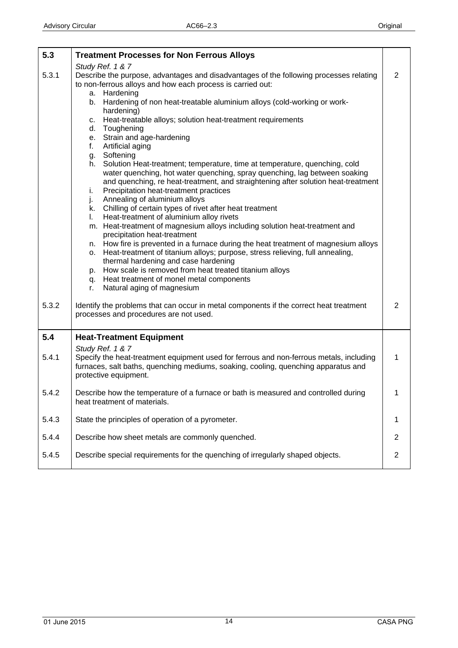<span id="page-13-0"></span>

| 5.3   | <b>Treatment Processes for Non Ferrous Alloys</b>                                                                                                                                                                                                                                                                                                                                                                                                                                                                                                                                                                                                                                                                                                                                                                                                                                                                                                                                                                                                                                                                                                                                                                                                                                                                                                                                                   |                  |
|-------|-----------------------------------------------------------------------------------------------------------------------------------------------------------------------------------------------------------------------------------------------------------------------------------------------------------------------------------------------------------------------------------------------------------------------------------------------------------------------------------------------------------------------------------------------------------------------------------------------------------------------------------------------------------------------------------------------------------------------------------------------------------------------------------------------------------------------------------------------------------------------------------------------------------------------------------------------------------------------------------------------------------------------------------------------------------------------------------------------------------------------------------------------------------------------------------------------------------------------------------------------------------------------------------------------------------------------------------------------------------------------------------------------------|------------------|
| 5.3.1 | Study Ref. 1 & 7<br>Describe the purpose, advantages and disadvantages of the following processes relating<br>to non-ferrous alloys and how each process is carried out:<br>a. Hardening<br>b. Hardening of non heat-treatable aluminium alloys (cold-working or work-<br>hardening)<br>c. Heat-treatable alloys; solution heat-treatment requirements<br>Toughening<br>d.<br>e. Strain and age-hardening<br>Artificial aging<br>f.<br>g. Softening<br>Solution Heat-treatment; temperature, time at temperature, quenching, cold<br>h.<br>water quenching, hot water quenching, spray quenching, lag between soaking<br>and quenching, re heat-treatment, and straightening after solution heat-treatment<br>Precipitation heat-treatment practices<br>i.<br>Annealing of aluminium alloys<br>j.<br>k. Chilling of certain types of rivet after heat treatment<br>Heat-treatment of aluminium alloy rivets<br>L.<br>m. Heat-treatment of magnesium alloys including solution heat-treatment and<br>precipitation heat-treatment<br>n. How fire is prevented in a furnace during the heat treatment of magnesium alloys<br>o. Heat-treatment of titanium alloys; purpose, stress relieving, full annealing,<br>thermal hardening and case hardening<br>p. How scale is removed from heat treated titanium alloys<br>q. Heat treatment of monel metal components<br>Natural aging of magnesium<br>r. | $\overline{2}$   |
| 5.3.2 | Identify the problems that can occur in metal components if the correct heat treatment<br>processes and procedures are not used.                                                                                                                                                                                                                                                                                                                                                                                                                                                                                                                                                                                                                                                                                                                                                                                                                                                                                                                                                                                                                                                                                                                                                                                                                                                                    | $\overline{2}$   |
| 5.4   | <b>Heat-Treatment Equipment</b>                                                                                                                                                                                                                                                                                                                                                                                                                                                                                                                                                                                                                                                                                                                                                                                                                                                                                                                                                                                                                                                                                                                                                                                                                                                                                                                                                                     |                  |
| 5.4.1 | Study Ref. 1 & 7<br>Specify the heat-treatment equipment used for ferrous and non-ferrous metals, including<br>furnaces, salt baths, quenching mediums, soaking, cooling, quenching apparatus and<br>protective equipment.                                                                                                                                                                                                                                                                                                                                                                                                                                                                                                                                                                                                                                                                                                                                                                                                                                                                                                                                                                                                                                                                                                                                                                          | $\mathbf{1}$     |
| 5.4.2 | Describe how the temperature of a furnace or bath is measured and controlled during<br>heat treatment of materials.                                                                                                                                                                                                                                                                                                                                                                                                                                                                                                                                                                                                                                                                                                                                                                                                                                                                                                                                                                                                                                                                                                                                                                                                                                                                                 |                  |
| 5.4.3 | State the principles of operation of a pyrometer.                                                                                                                                                                                                                                                                                                                                                                                                                                                                                                                                                                                                                                                                                                                                                                                                                                                                                                                                                                                                                                                                                                                                                                                                                                                                                                                                                   | 1                |
| 5.4.4 | Describe how sheet metals are commonly quenched.                                                                                                                                                                                                                                                                                                                                                                                                                                                                                                                                                                                                                                                                                                                                                                                                                                                                                                                                                                                                                                                                                                                                                                                                                                                                                                                                                    | $\overline{2}$   |
| 5.4.5 | Describe special requirements for the quenching of irregularly shaped objects.                                                                                                                                                                                                                                                                                                                                                                                                                                                                                                                                                                                                                                                                                                                                                                                                                                                                                                                                                                                                                                                                                                                                                                                                                                                                                                                      | $\boldsymbol{2}$ |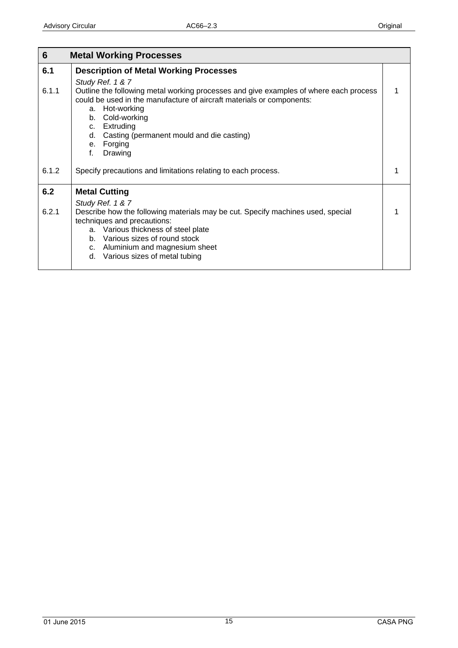<span id="page-14-0"></span>

| $6\phantom{1}$ | <b>Metal Working Processes</b>                                                                                                                                                                         |  |
|----------------|--------------------------------------------------------------------------------------------------------------------------------------------------------------------------------------------------------|--|
| 6.1            | <b>Description of Metal Working Processes</b>                                                                                                                                                          |  |
|                | Study Ref. 1 & 7                                                                                                                                                                                       |  |
| 6.1.1          | Outline the following metal working processes and give examples of where each process<br>could be used in the manufacture of aircraft materials or components:<br>a. Hot-working<br>Cold-working<br>b. |  |
|                | c. Extruding                                                                                                                                                                                           |  |
|                | d. Casting (permanent mould and die casting)<br>e. Forging                                                                                                                                             |  |
|                | f.<br>Drawing                                                                                                                                                                                          |  |
| 6.1.2          | Specify precautions and limitations relating to each process.                                                                                                                                          |  |
| 6.2            | <b>Metal Cutting</b>                                                                                                                                                                                   |  |
|                | Study Ref. 1 & 7                                                                                                                                                                                       |  |
| 6.2.1          | Describe how the following materials may be cut. Specify machines used, special<br>techniques and precautions:                                                                                         |  |
|                | a. Various thickness of steel plate<br>b. Various sizes of round stock                                                                                                                                 |  |
|                | c. Aluminium and magnesium sheet                                                                                                                                                                       |  |
|                | d. Various sizes of metal tubing                                                                                                                                                                       |  |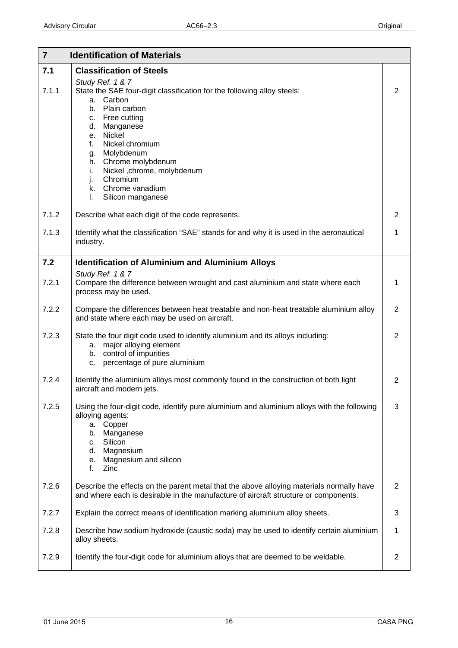<span id="page-15-0"></span>

| $\overline{7}$ | <b>Identification of Materials</b>                                                                                                                                                                                                                                                                                                                                                                        |                |
|----------------|-----------------------------------------------------------------------------------------------------------------------------------------------------------------------------------------------------------------------------------------------------------------------------------------------------------------------------------------------------------------------------------------------------------|----------------|
| 7.1<br>7.1.1   | <b>Classification of Steels</b><br>Study Ref. 1 & 7<br>State the SAE four-digit classification for the following alloy steels:<br>Carbon<br>a.<br>Plain carbon<br>b.<br>Free cutting<br>C.<br>Manganese<br>d.<br>e. Nickel<br>Nickel chromium<br>f.<br>Molybdenum<br>g.<br>Chrome molybdenum<br>h.<br>Nickel ,chrome, molybdenum<br>i.<br>Chromium<br>j.<br>k. Chrome vanadium<br>L.<br>Silicon manganese | 2              |
| 7.1.2          | Describe what each digit of the code represents.                                                                                                                                                                                                                                                                                                                                                          | $\overline{2}$ |
| 7.1.3          | Identify what the classification "SAE" stands for and why it is used in the aeronautical<br>industry.                                                                                                                                                                                                                                                                                                     | 1              |
| 7.2            | <b>Identification of Aluminium and Aluminium Alloys</b>                                                                                                                                                                                                                                                                                                                                                   |                |
| 7.2.1          | Study Ref. 1 & 7<br>Compare the difference between wrought and cast aluminium and state where each<br>process may be used.                                                                                                                                                                                                                                                                                | 1              |
| 7.2.2          | Compare the differences between heat treatable and non-heat treatable aluminium alloy<br>and state where each may be used on aircraft.                                                                                                                                                                                                                                                                    | 2              |
| 7.2.3          | State the four digit code used to identify aluminium and its alloys including:<br>major alloying element<br>а.<br>control of impurities<br>b.<br>percentage of pure aluminium<br>c.                                                                                                                                                                                                                       | 2              |
| 7.2.4          | Identify the aluminium alloys most commonly found in the construction of both light<br>aircraft and modern jets.                                                                                                                                                                                                                                                                                          | $\overline{2}$ |
| 7.2.5          | Using the four-digit code, identify pure aluminium and aluminium alloys with the following<br>alloying agents:<br>Copper<br>a.<br>Manganese<br>b.<br>Silicon<br>c.<br>Magnesium<br>d.<br>Magnesium and silicon<br>е.<br>f.<br>Zinc                                                                                                                                                                        | 3              |
| 7.2.6          | Describe the effects on the parent metal that the above alloying materials normally have<br>and where each is desirable in the manufacture of aircraft structure or components.                                                                                                                                                                                                                           | $\overline{2}$ |
| 7.2.7          | Explain the correct means of identification marking aluminium alloy sheets.                                                                                                                                                                                                                                                                                                                               | 3              |
| 7.2.8          | Describe how sodium hydroxide (caustic soda) may be used to identify certain aluminium<br>alloy sheets.                                                                                                                                                                                                                                                                                                   | 1              |
| 7.2.9          | Identify the four-digit code for aluminium alloys that are deemed to be weldable.                                                                                                                                                                                                                                                                                                                         | $\overline{2}$ |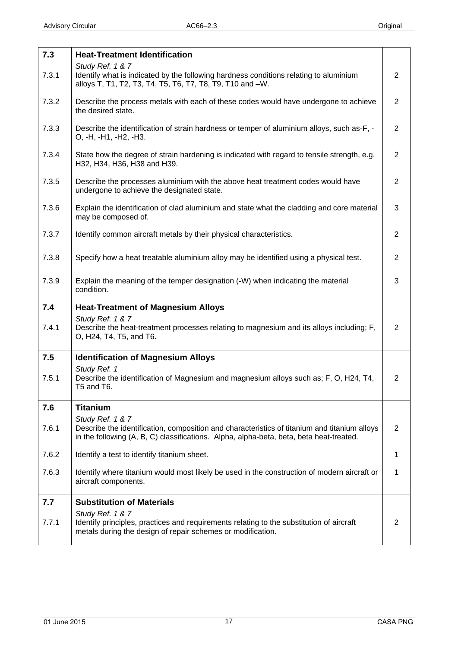<span id="page-16-0"></span>

| 7.3   | <b>Heat-Treatment Identification</b>                                                                                                                                                                        |                |
|-------|-------------------------------------------------------------------------------------------------------------------------------------------------------------------------------------------------------------|----------------|
| 7.3.1 | Study Ref. 1 & 7<br>Identify what is indicated by the following hardness conditions relating to aluminium<br>alloys T, T1, T2, T3, T4, T5, T6, T7, T8, T9, T10 and -W.                                      | $\overline{2}$ |
| 7.3.2 | Describe the process metals with each of these codes would have undergone to achieve<br>the desired state.                                                                                                  | $\overline{2}$ |
| 7.3.3 | Describe the identification of strain hardness or temper of aluminium alloys, such as-F, -<br>O, -H, -H1, -H2, -H3.                                                                                         | $\overline{2}$ |
| 7.3.4 | State how the degree of strain hardening is indicated with regard to tensile strength, e.g.<br>H32, H34, H36, H38 and H39.                                                                                  | $\overline{2}$ |
| 7.3.5 | Describe the processes aluminium with the above heat treatment codes would have<br>undergone to achieve the designated state.                                                                               | $\overline{2}$ |
| 7.3.6 | Explain the identification of clad aluminium and state what the cladding and core material<br>may be composed of.                                                                                           | 3              |
| 7.3.7 | Identify common aircraft metals by their physical characteristics.                                                                                                                                          | 2              |
| 7.3.8 | Specify how a heat treatable aluminium alloy may be identified using a physical test.                                                                                                                       | $\overline{2}$ |
| 7.3.9 | Explain the meaning of the temper designation (-W) when indicating the material<br>condition.                                                                                                               | 3              |
| 7.4   | <b>Heat-Treatment of Magnesium Alloys</b>                                                                                                                                                                   |                |
| 7.4.1 | Study Ref. 1 & 7<br>Describe the heat-treatment processes relating to magnesium and its alloys including; F,<br>O, H24, T4, T5, and T6.                                                                     | $\overline{2}$ |
| 7.5   | <b>Identification of Magnesium Alloys</b>                                                                                                                                                                   |                |
| 7.5.1 | Study Ref. 1<br>Describe the identification of Magnesium and magnesium alloys such as; F, O, H24, T4,<br>T5 and T6.                                                                                         | $\overline{2}$ |
| 7.6   | <b>Titanium</b>                                                                                                                                                                                             |                |
| 7.6.1 | Study Ref. 1 & 7<br>Describe the identification, composition and characteristics of titanium and titanium alloys<br>in the following (A, B, C) classifications. Alpha, alpha-beta, beta, beta heat-treated. | $\overline{2}$ |
| 7.6.2 | Identify a test to identify titanium sheet.                                                                                                                                                                 | 1              |
| 7.6.3 | Identify where titanium would most likely be used in the construction of modern aircraft or<br>aircraft components.                                                                                         | 1              |
| 7.7   | <b>Substitution of Materials</b>                                                                                                                                                                            |                |
| 7.7.1 | Study Ref. 1 & 7<br>Identify principles, practices and requirements relating to the substitution of aircraft<br>metals during the design of repair schemes or modification.                                 | 2              |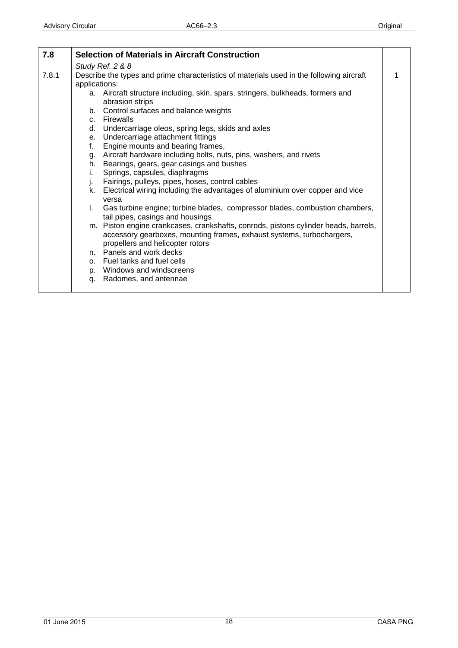<span id="page-17-0"></span>

| 7.8   | <b>Selection of Materials in Aircraft Construction</b>                                                                                                                                           |   |
|-------|--------------------------------------------------------------------------------------------------------------------------------------------------------------------------------------------------|---|
|       | Study Ref. 2 & 8                                                                                                                                                                                 |   |
| 7.8.1 | Describe the types and prime characteristics of materials used in the following aircraft                                                                                                         | 1 |
|       | applications:                                                                                                                                                                                    |   |
|       | a. Aircraft structure including, skin, spars, stringers, bulkheads, formers and<br>abrasion strips                                                                                               |   |
|       | b. Control surfaces and balance weights                                                                                                                                                          |   |
|       | c. Firewalls                                                                                                                                                                                     |   |
|       | d. Undercarriage oleos, spring legs, skids and axles                                                                                                                                             |   |
|       | e. Undercarriage attachment fittings                                                                                                                                                             |   |
|       | f.<br>Engine mounts and bearing frames,                                                                                                                                                          |   |
|       | g. Aircraft hardware including bolts, nuts, pins, washers, and rivets                                                                                                                            |   |
|       | h. Bearings, gears, gear casings and bushes                                                                                                                                                      |   |
|       | Springs, capsules, diaphragms<br>i.                                                                                                                                                              |   |
|       | Fairings, pulleys, pipes, hoses, control cables<br>j.                                                                                                                                            |   |
|       | Electrical wiring including the advantages of aluminium over copper and vice<br>k.<br>versa                                                                                                      |   |
|       | Gas turbine engine; turbine blades, compressor blades, combustion chambers,<br>L.<br>tail pipes, casings and housings                                                                            |   |
|       | m. Piston engine crankcases, crankshafts, conrods, pistons cylinder heads, barrels,<br>accessory gearboxes, mounting frames, exhaust systems, turbochargers,<br>propellers and helicopter rotors |   |
|       | n. Panels and work decks                                                                                                                                                                         |   |
|       | o. Fuel tanks and fuel cells                                                                                                                                                                     |   |
|       | p. Windows and windscreens                                                                                                                                                                       |   |
|       | Radomes, and antennae<br>q.                                                                                                                                                                      |   |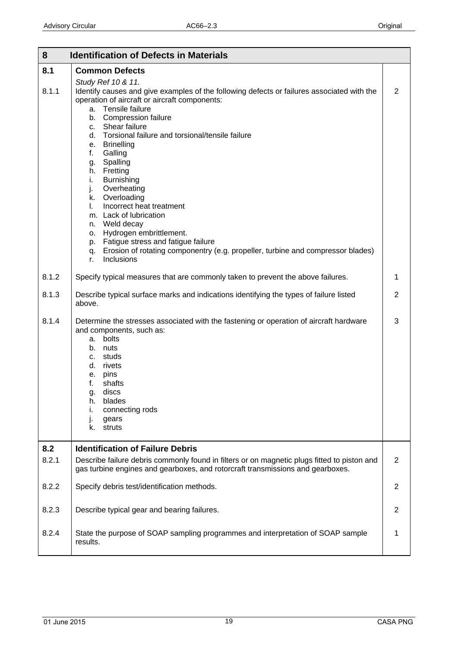<span id="page-18-0"></span>

| 8     | <b>Identification of Defects in Materials</b>                                                                                                                                                                                                                                                                                                                          |   |
|-------|------------------------------------------------------------------------------------------------------------------------------------------------------------------------------------------------------------------------------------------------------------------------------------------------------------------------------------------------------------------------|---|
| 8.1   | <b>Common Defects</b>                                                                                                                                                                                                                                                                                                                                                  |   |
| 8.1.1 | Study Ref 10 & 11.<br>Identify causes and give examples of the following defects or failures associated with the<br>operation of aircraft or aircraft components:<br>Tensile failure<br>a.<br><b>Compression failure</b><br>b.<br>c. Shear failure<br>d. Torsional failure and torsional/tensile failure<br>e. Brinelling<br>f.<br>Galling                             | 2 |
|       | Spalling<br>g.<br>h. Fretting<br>i.<br><b>Burnishing</b><br>Overheating<br>j.<br>Overloading<br>k.<br>Incorrect heat treatment<br>L.<br>m. Lack of lubrication<br>n. Weld decay<br>Hydrogen embrittlement.<br>о.<br>p. Fatigue stress and fatigue failure<br>Erosion of rotating componentry (e.g. propeller, turbine and compressor blades)<br>q.<br>Inclusions<br>r. |   |
| 8.1.2 | Specify typical measures that are commonly taken to prevent the above failures.                                                                                                                                                                                                                                                                                        | 1 |
| 8.1.3 | Describe typical surface marks and indications identifying the types of failure listed<br>above.                                                                                                                                                                                                                                                                       | 2 |
| 8.1.4 | Determine the stresses associated with the fastening or operation of aircraft hardware<br>and components, such as:<br>a. bolts<br>b. nuts<br>c. studs<br>d. rivets<br>pins<br>е.<br>f.<br>shafts<br>discs<br>g.<br>blades<br>h.<br>connecting rods<br>Τ.<br>gears<br>j.<br>struts<br>k. I                                                                              | 3 |
| 8.2   | <b>Identification of Failure Debris</b>                                                                                                                                                                                                                                                                                                                                |   |
| 8.2.1 | Describe failure debris commonly found in filters or on magnetic plugs fitted to piston and<br>gas turbine engines and gearboxes, and rotorcraft transmissions and gearboxes.                                                                                                                                                                                          | 2 |
| 8.2.2 | Specify debris test/identification methods.                                                                                                                                                                                                                                                                                                                            | 2 |
| 8.2.3 | Describe typical gear and bearing failures.                                                                                                                                                                                                                                                                                                                            | 2 |
| 8.2.4 | State the purpose of SOAP sampling programmes and interpretation of SOAP sample<br>results.                                                                                                                                                                                                                                                                            | 1 |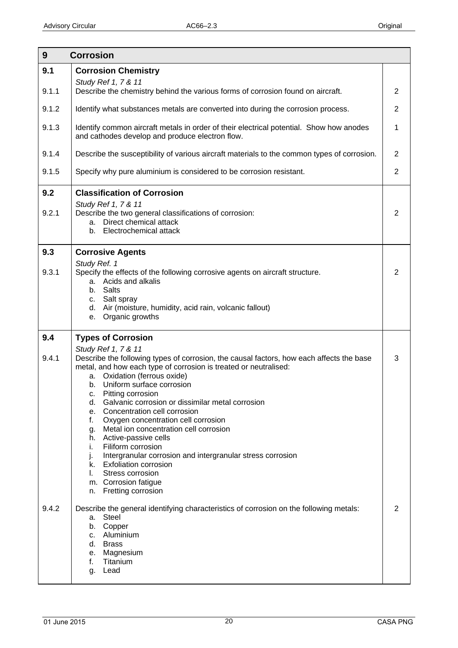<span id="page-19-0"></span>

| $9\phantom{.}$ | <b>Corrosion</b>                                                                                                                                                                                                                                                                                                                                                                                                                                                                                                                                                                                                |                |
|----------------|-----------------------------------------------------------------------------------------------------------------------------------------------------------------------------------------------------------------------------------------------------------------------------------------------------------------------------------------------------------------------------------------------------------------------------------------------------------------------------------------------------------------------------------------------------------------------------------------------------------------|----------------|
| 9.1            | <b>Corrosion Chemistry</b>                                                                                                                                                                                                                                                                                                                                                                                                                                                                                                                                                                                      |                |
| 9.1.1          | Study Ref 1, 7 & 11<br>Describe the chemistry behind the various forms of corrosion found on aircraft.                                                                                                                                                                                                                                                                                                                                                                                                                                                                                                          | 2              |
| 9.1.2          | Identify what substances metals are converted into during the corrosion process.                                                                                                                                                                                                                                                                                                                                                                                                                                                                                                                                | $\overline{2}$ |
| 9.1.3          | Identify common aircraft metals in order of their electrical potential. Show how anodes<br>and cathodes develop and produce electron flow.                                                                                                                                                                                                                                                                                                                                                                                                                                                                      | 1              |
| 9.1.4          | Describe the susceptibility of various aircraft materials to the common types of corrosion.                                                                                                                                                                                                                                                                                                                                                                                                                                                                                                                     | 2              |
| 9.1.5          | Specify why pure aluminium is considered to be corrosion resistant.                                                                                                                                                                                                                                                                                                                                                                                                                                                                                                                                             | 2              |
| 9.2<br>9.2.1   | <b>Classification of Corrosion</b><br>Study Ref 1, 7 & 11<br>Describe the two general classifications of corrosion:<br>a. Direct chemical attack<br>b. Electrochemical attack                                                                                                                                                                                                                                                                                                                                                                                                                                   | $\overline{2}$ |
| 9.3            | <b>Corrosive Agents</b>                                                                                                                                                                                                                                                                                                                                                                                                                                                                                                                                                                                         |                |
| 9.3.1          | Study Ref. 1<br>Specify the effects of the following corrosive agents on aircraft structure.<br>a. Acids and alkalis<br>b. Salts<br>c. Salt spray<br>d. Air (moisture, humidity, acid rain, volcanic fallout)<br>Organic growths<br>е.                                                                                                                                                                                                                                                                                                                                                                          | 2              |
| 9.4            | <b>Types of Corrosion</b>                                                                                                                                                                                                                                                                                                                                                                                                                                                                                                                                                                                       |                |
| 9.4.1          | Study Ref 1, 7 & 11<br>Describe the following types of corrosion, the causal factors, how each affects the base<br>metal, and how each type of corrosion is treated or neutralised:<br>Oxidation (ferrous oxide)<br>а.<br>Uniform surface corrosion<br>b.<br>Pitting corrosion<br>с.<br>Galvanic corrosion or dissimilar metal corrosion<br>d.<br>Concentration cell corrosion<br>e.<br>f.<br>Oxygen concentration cell corrosion<br>Metal ion concentration cell corrosion<br>g.<br>Active-passive cells<br>h.<br>Filiform corrosion<br>i.<br>Intergranular corrosion and intergranular stress corrosion<br>J. | 3              |
|                | <b>Exfoliation corrosion</b><br>k.<br>Stress corrosion<br>L.<br>m. Corrosion fatigue<br>Fretting corrosion<br>n.                                                                                                                                                                                                                                                                                                                                                                                                                                                                                                |                |
| 9.4.2          | Describe the general identifying characteristics of corrosion on the following metals:<br><b>Steel</b><br>а.<br>Copper<br>b.<br>Aluminium<br>C.<br><b>Brass</b><br>d.<br>Magnesium<br>е.<br>Titanium<br>f.<br>Lead<br>g.                                                                                                                                                                                                                                                                                                                                                                                        | 2              |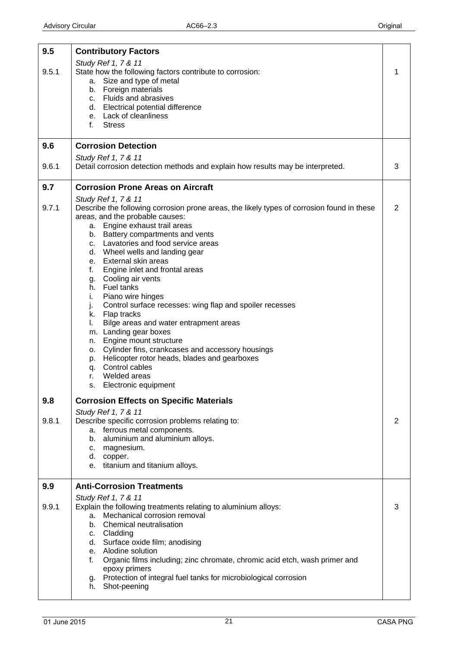<span id="page-20-0"></span>

| 9.5   | <b>Contributory Factors</b>                                                                                                   |                |
|-------|-------------------------------------------------------------------------------------------------------------------------------|----------------|
|       | Study Ref 1, 7 & 11                                                                                                           |                |
| 9.5.1 | State how the following factors contribute to corrosion:                                                                      | 1              |
|       | a. Size and type of metal<br>b. Foreign materials                                                                             |                |
|       | c. Fluids and abrasives                                                                                                       |                |
|       | d. Electrical potential difference                                                                                            |                |
|       | e. Lack of cleanliness<br>f.<br><b>Stress</b>                                                                                 |                |
|       |                                                                                                                               |                |
| 9.6   | <b>Corrosion Detection</b>                                                                                                    |                |
|       | Study Ref 1, 7 & 11                                                                                                           |                |
| 9.6.1 | Detail corrosion detection methods and explain how results may be interpreted.                                                | 3              |
| 9.7   | <b>Corrosion Prone Areas on Aircraft</b>                                                                                      |                |
|       | Study Ref 1, 7 & 11                                                                                                           |                |
| 9.7.1 | Describe the following corrosion prone areas, the likely types of corrosion found in these<br>areas, and the probable causes: | $\overline{2}$ |
|       | a. Engine exhaust trail areas                                                                                                 |                |
|       | b. Battery compartments and vents                                                                                             |                |
|       | c. Lavatories and food service areas                                                                                          |                |
|       | d. Wheel wells and landing gear<br>e. External skin areas                                                                     |                |
|       | Engine inlet and frontal areas<br>f.                                                                                          |                |
|       | g. Cooling air vents                                                                                                          |                |
|       | h. Fuel tanks                                                                                                                 |                |
|       | Piano wire hinges<br>i.<br>Control surface recesses: wing flap and spoiler recesses<br>j.                                     |                |
|       | k. Flap tracks                                                                                                                |                |
|       | Bilge areas and water entrapment areas<br>L.                                                                                  |                |
|       | m. Landing gear boxes<br>Engine mount structure                                                                               |                |
|       | n.<br>o. Cylinder fins, crankcases and accessory housings                                                                     |                |
|       | Helicopter rotor heads, blades and gearboxes<br>p.                                                                            |                |
|       | q. Control cables                                                                                                             |                |
|       | Welded areas<br>r.<br>Electronic equipment<br>s.                                                                              |                |
|       |                                                                                                                               |                |
| 9.8   | <b>Corrosion Effects on Specific Materials</b><br>Study Ref 1, 7 & 11                                                         |                |
| 9.8.1 | Describe specific corrosion problems relating to:                                                                             | 2              |
|       | a. ferrous metal components.                                                                                                  |                |
|       | b. aluminium and aluminium alloys.                                                                                            |                |
|       | c. magnesium.<br>d. copper.                                                                                                   |                |
|       | e. titanium and titanium alloys.                                                                                              |                |
| 9.9   | <b>Anti-Corrosion Treatments</b>                                                                                              |                |
|       | Study Ref 1, 7 & 11                                                                                                           |                |
| 9.9.1 | Explain the following treatments relating to aluminium alloys:<br>Mechanical corrosion removal<br>a.                          | 3              |
|       | b. Chemical neutralisation                                                                                                    |                |
|       | c. Cladding                                                                                                                   |                |
|       | d. Surface oxide film; anodising                                                                                              |                |
|       | e. Alodine solution<br>f.                                                                                                     |                |
|       | Organic films including; zinc chromate, chromic acid etch, wash primer and<br>epoxy primers                                   |                |
|       | g. Protection of integral fuel tanks for microbiological corrosion                                                            |                |
|       | h. Shot-peening                                                                                                               |                |
|       |                                                                                                                               |                |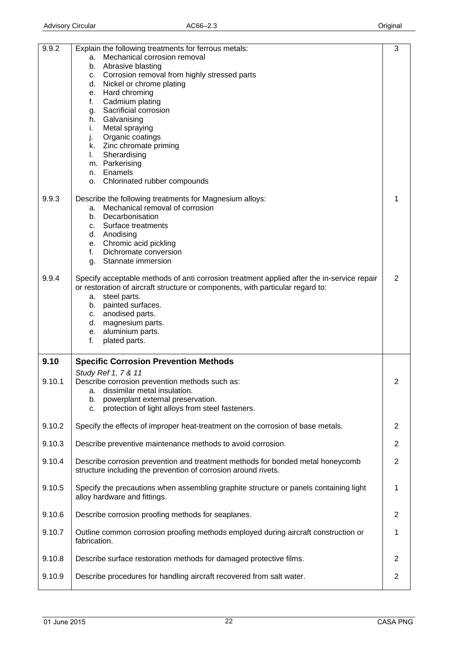<span id="page-21-0"></span>

| 9.9.2  | Explain the following treatments for ferrous metals:                                                                  | 3              |
|--------|-----------------------------------------------------------------------------------------------------------------------|----------------|
|        | Mechanical corrosion removal<br>a.                                                                                    |                |
|        | Abrasive blasting<br>b.                                                                                               |                |
|        | c. Corrosion removal from highly stressed parts                                                                       |                |
|        | d. Nickel or chrome plating                                                                                           |                |
|        | Hard chroming<br>е.<br>Cadmium plating<br>f.                                                                          |                |
|        | Sacrificial corrosion<br>g.                                                                                           |                |
|        | Galvanising<br>h.                                                                                                     |                |
|        | Metal spraying<br>Ĺ.                                                                                                  |                |
|        | j.<br>Organic coatings                                                                                                |                |
|        | k. Zinc chromate priming                                                                                              |                |
|        | Sherardising<br>L.                                                                                                    |                |
|        | m. Parkerising                                                                                                        |                |
|        | n. Enamels                                                                                                            |                |
|        | Chlorinated rubber compounds<br>0.                                                                                    |                |
| 9.9.3  | Describe the following treatments for Magnesium alloys:                                                               | 1              |
|        | Mechanical removal of corrosion<br>a.                                                                                 |                |
|        | Decarbonisation<br>b.                                                                                                 |                |
|        | Surface treatments<br>C.                                                                                              |                |
|        | d. Anodising                                                                                                          |                |
|        | e. Chromic acid pickling                                                                                              |                |
|        | Dichromate conversion<br>f.                                                                                           |                |
|        | Stannate immersion<br>q.                                                                                              |                |
| 9.9.4  | Specify acceptable methods of anti corrosion treatment applied after the in-service repair                            | 2              |
|        | or restoration of aircraft structure or components, with particular regard to:                                        |                |
|        | a. steel parts.                                                                                                       |                |
|        | b. painted surfaces.                                                                                                  |                |
|        | anodised parts.<br>C.                                                                                                 |                |
|        | d. magnesium parts.                                                                                                   |                |
|        | aluminium parts.<br>е.                                                                                                |                |
|        | f.<br>plated parts.                                                                                                   |                |
| 9.10   | <b>Specific Corrosion Prevention Methods</b>                                                                          |                |
|        | Study Ref 1, 7 & 11                                                                                                   |                |
| 9.10.1 | Describe corrosion prevention methods such as:                                                                        | 2              |
|        | dissimilar metal insulation.<br>a.                                                                                    |                |
|        | powerplant external preservation.<br>b.                                                                               |                |
|        | protection of light alloys from steel fasteners.<br>c.                                                                |                |
| 9.10.2 | Specify the effects of improper heat-treatment on the corrosion of base metals.                                       | 2              |
|        |                                                                                                                       |                |
| 9.10.3 | Describe preventive maintenance methods to avoid corrosion.                                                           | $\overline{2}$ |
| 9.10.4 | Describe corrosion prevention and treatment methods for bonded metal honeycomb                                        | $\overline{2}$ |
|        | structure including the prevention of corrosion around rivets.                                                        |                |
|        |                                                                                                                       |                |
| 9.10.5 | Specify the precautions when assembling graphite structure or panels containing light<br>alloy hardware and fittings. | 1              |
|        |                                                                                                                       |                |
| 9.10.6 | Describe corrosion proofing methods for seaplanes.                                                                    | $\overline{2}$ |
|        |                                                                                                                       |                |
| 9.10.7 | Outline common corrosion proofing methods employed during aircraft construction or                                    | 1              |
|        | fabrication.                                                                                                          |                |
| 9.10.8 | Describe surface restoration methods for damaged protective films.                                                    | 2              |
|        |                                                                                                                       |                |
| 9.10.9 | Describe procedures for handling aircraft recovered from salt water.                                                  | $\overline{2}$ |
|        |                                                                                                                       |                |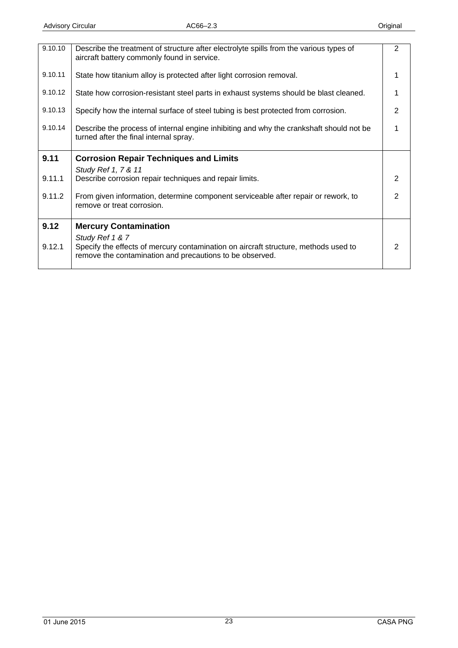<span id="page-22-0"></span>

| 9.10.10 | Describe the treatment of structure after electrolyte spills from the various types of<br>aircraft battery commonly found in service.                              | $\overline{2}$ |
|---------|--------------------------------------------------------------------------------------------------------------------------------------------------------------------|----------------|
| 9.10.11 | State how titanium alloy is protected after light corrosion removal.                                                                                               |                |
| 9.10.12 | State how corrosion-resistant steel parts in exhaust systems should be blast cleaned.                                                                              |                |
| 9.10.13 | Specify how the internal surface of steel tubing is best protected from corrosion.                                                                                 | $\overline{2}$ |
| 9.10.14 | Describe the process of internal engine inhibiting and why the crankshaft should not be<br>turned after the final internal spray.                                  |                |
| 9.11    | <b>Corrosion Repair Techniques and Limits</b>                                                                                                                      |                |
|         | Study Ref 1, 7 & 11                                                                                                                                                |                |
| 9.11.1  | Describe corrosion repair techniques and repair limits.                                                                                                            | 2              |
| 9.11.2  | From given information, determine component serviceable after repair or rework, to<br>remove or treat corrosion.                                                   | $\overline{2}$ |
| 9.12    | <b>Mercury Contamination</b>                                                                                                                                       |                |
| 9.12.1  | Study Ref 1 & 7<br>Specify the effects of mercury contamination on aircraft structure, methods used to<br>remove the contamination and precautions to be observed. | 2              |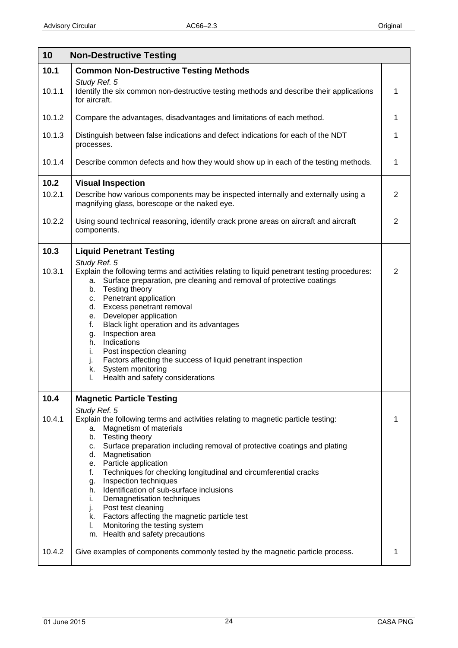<span id="page-23-0"></span>

| 10     | <b>Non-Destructive Testing</b>                                                                                                                                                                                                                                                                                                                                                                                                                                                     |   |
|--------|------------------------------------------------------------------------------------------------------------------------------------------------------------------------------------------------------------------------------------------------------------------------------------------------------------------------------------------------------------------------------------------------------------------------------------------------------------------------------------|---|
| 10.1   | <b>Common Non-Destructive Testing Methods</b>                                                                                                                                                                                                                                                                                                                                                                                                                                      |   |
| 10.1.1 | Study Ref. 5<br>Identify the six common non-destructive testing methods and describe their applications<br>for aircraft.                                                                                                                                                                                                                                                                                                                                                           | 1 |
| 10.1.2 | Compare the advantages, disadvantages and limitations of each method.                                                                                                                                                                                                                                                                                                                                                                                                              | 1 |
| 10.1.3 | Distinguish between false indications and defect indications for each of the NDT<br>processes.                                                                                                                                                                                                                                                                                                                                                                                     | 1 |
| 10.1.4 | Describe common defects and how they would show up in each of the testing methods.                                                                                                                                                                                                                                                                                                                                                                                                 | 1 |
| 10.2   | <b>Visual Inspection</b>                                                                                                                                                                                                                                                                                                                                                                                                                                                           |   |
| 10.2.1 | Describe how various components may be inspected internally and externally using a<br>magnifying glass, borescope or the naked eye.                                                                                                                                                                                                                                                                                                                                                | 2 |
| 10.2.2 | Using sound technical reasoning, identify crack prone areas on aircraft and aircraft<br>components.                                                                                                                                                                                                                                                                                                                                                                                | 2 |
| 10.3   | <b>Liquid Penetrant Testing</b>                                                                                                                                                                                                                                                                                                                                                                                                                                                    |   |
| 10.3.1 | Study Ref. 5<br>Explain the following terms and activities relating to liquid penetrant testing procedures:<br>a. Surface preparation, pre cleaning and removal of protective coatings<br>b. Testing theory<br>c. Penetrant application<br>d. Excess penetrant removal<br>e. Developer application<br>Black light operation and its advantages<br>f.<br>Inspection area<br>g.                                                                                                      | 2 |
|        | h. Indications<br>Post inspection cleaning<br>i.<br>Factors affecting the success of liquid penetrant inspection<br>j.<br>System monitoring<br>k.<br>Health and safety considerations<br>L.                                                                                                                                                                                                                                                                                        |   |
| 10.4   | <b>Magnetic Particle Testing</b>                                                                                                                                                                                                                                                                                                                                                                                                                                                   |   |
| 10.4.1 | Study Ref. 5<br>Explain the following terms and activities relating to magnetic particle testing:<br>Magnetism of materials<br>a.<br>b. Testing theory<br>c. Surface preparation including removal of protective coatings and plating<br>d. Magnetisation<br>e. Particle application<br>Techniques for checking longitudinal and circumferential cracks<br>f.<br>Inspection techniques<br>g.<br>Identification of sub-surface inclusions<br>h.<br>Demagnetisation techniques<br>i. | 1 |
|        | Post test cleaning<br>j.<br>Factors affecting the magnetic particle test<br>k.<br>Monitoring the testing system<br>I.                                                                                                                                                                                                                                                                                                                                                              |   |
| 10.4.2 | m. Health and safety precautions<br>Give examples of components commonly tested by the magnetic particle process.                                                                                                                                                                                                                                                                                                                                                                  | 1 |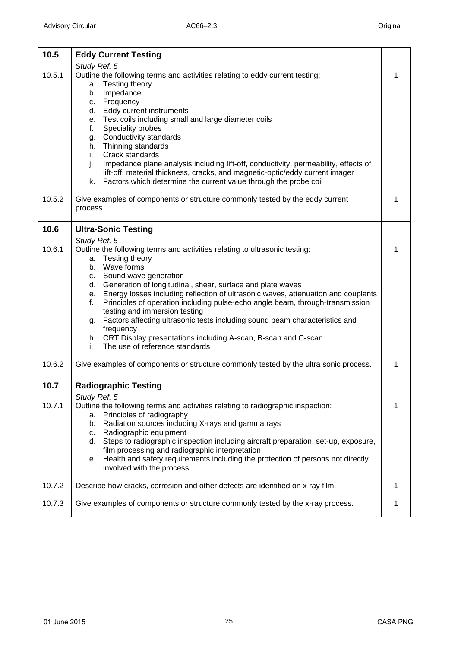<span id="page-24-0"></span>

| 10.5             | <b>Eddy Current Testing</b>                                                                                                                                                                                                                                                                                                                                                                                                                                                                                                                                                                                                                                                                                                                               |        |
|------------------|-----------------------------------------------------------------------------------------------------------------------------------------------------------------------------------------------------------------------------------------------------------------------------------------------------------------------------------------------------------------------------------------------------------------------------------------------------------------------------------------------------------------------------------------------------------------------------------------------------------------------------------------------------------------------------------------------------------------------------------------------------------|--------|
| 10.5.1           | Study Ref. 5<br>Outline the following terms and activities relating to eddy current testing:<br>Testing theory<br>а.<br>Impedance<br>b.<br>Frequency<br>C.<br>Eddy current instruments<br>d.<br>e. Test coils including small and large diameter coils<br>f.<br>Speciality probes<br>Conductivity standards<br>g.<br>Thinning standards<br>h.<br>Crack standards<br>i.<br>j.<br>Impedance plane analysis including lift-off, conductivity, permeability, effects of<br>lift-off, material thickness, cracks, and magnetic-optic/eddy current imager<br>Factors which determine the current value through the probe coil<br>k.                                                                                                                             | 1      |
| 10.5.2           | Give examples of components or structure commonly tested by the eddy current<br>process.                                                                                                                                                                                                                                                                                                                                                                                                                                                                                                                                                                                                                                                                  | 1      |
| 10.6             | <b>Ultra-Sonic Testing</b>                                                                                                                                                                                                                                                                                                                                                                                                                                                                                                                                                                                                                                                                                                                                |        |
| 10.6.1<br>10.6.2 | Study Ref. 5<br>Outline the following terms and activities relating to ultrasonic testing:<br>Testing theory<br>a.<br>b. Wave forms<br>c. Sound wave generation<br>d. Generation of longitudinal, shear, surface and plate waves<br>Energy losses including reflection of ultrasonic waves, attenuation and couplants<br>е.<br>Principles of operation including pulse-echo angle beam, through-transmission<br>f.<br>testing and immersion testing<br>Factors affecting ultrasonic tests including sound beam characteristics and<br>g.<br>frequency<br>h. CRT Display presentations including A-scan, B-scan and C-scan<br>The use of reference standards<br>i.<br>Give examples of components or structure commonly tested by the ultra sonic process. | 1<br>1 |
| 10.7             | <b>Radiographic Testing</b>                                                                                                                                                                                                                                                                                                                                                                                                                                                                                                                                                                                                                                                                                                                               |        |
| 10.7.1           | Study Ref. 5<br>Outline the following terms and activities relating to radiographic inspection:<br>Principles of radiography<br>a.<br>Radiation sources including X-rays and gamma rays<br>b.<br>Radiographic equipment<br>C.<br>d. Steps to radiographic inspection including aircraft preparation, set-up, exposure,<br>film processing and radiographic interpretation<br>e. Health and safety requirements including the protection of persons not directly<br>involved with the process                                                                                                                                                                                                                                                              | 1      |
| 10.7.2           | Describe how cracks, corrosion and other defects are identified on x-ray film.                                                                                                                                                                                                                                                                                                                                                                                                                                                                                                                                                                                                                                                                            | 1      |
| 10.7.3           | Give examples of components or structure commonly tested by the x-ray process.                                                                                                                                                                                                                                                                                                                                                                                                                                                                                                                                                                                                                                                                            | 1      |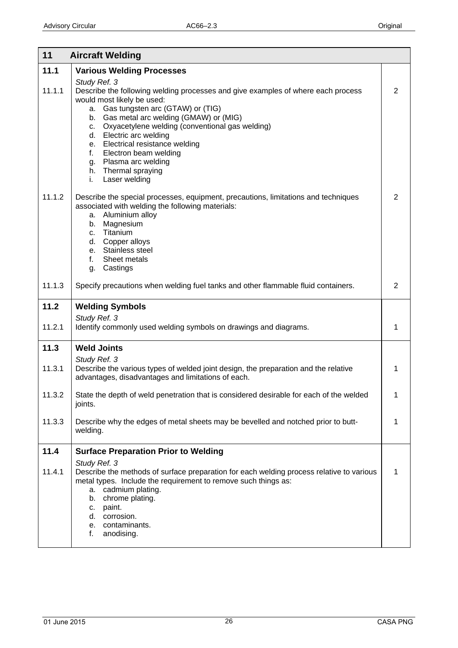<span id="page-25-0"></span>

| <b>Various Welding Processes</b>                                                                                                                                                                                                                                                                                                                                                                                                             |                                                         |
|----------------------------------------------------------------------------------------------------------------------------------------------------------------------------------------------------------------------------------------------------------------------------------------------------------------------------------------------------------------------------------------------------------------------------------------------|---------------------------------------------------------|
| Study Ref. 3<br>Describe the following welding processes and give examples of where each process<br>would most likely be used:<br>a. Gas tungsten arc (GTAW) or (TIG)<br>b. Gas metal arc welding (GMAW) or (MIG)<br>c. Oxyacetylene welding (conventional gas welding)<br>d. Electric arc welding<br>e. Electrical resistance welding<br>f.<br>Electron beam welding<br>g. Plasma arc welding<br>h. Thermal spraying<br>Laser welding<br>i. | 2                                                       |
| Describe the special processes, equipment, precautions, limitations and techniques<br>associated with welding the following materials:<br>a. Aluminium alloy<br>b. Magnesium<br>c. Titanium<br>d. Copper alloys<br>e. Stainless steel<br>Sheet metals<br>f.<br>g. Castings                                                                                                                                                                   | $\overline{2}$                                          |
| Specify precautions when welding fuel tanks and other flammable fluid containers.                                                                                                                                                                                                                                                                                                                                                            | $\overline{2}$                                          |
| <b>Welding Symbols</b>                                                                                                                                                                                                                                                                                                                                                                                                                       |                                                         |
| Identify commonly used welding symbols on drawings and diagrams.                                                                                                                                                                                                                                                                                                                                                                             | $\mathbf 1$                                             |
| <b>Weld Joints</b>                                                                                                                                                                                                                                                                                                                                                                                                                           |                                                         |
| Describe the various types of welded joint design, the preparation and the relative<br>advantages, disadvantages and limitations of each.                                                                                                                                                                                                                                                                                                    | 1                                                       |
| State the depth of weld penetration that is considered desirable for each of the welded<br>joints.                                                                                                                                                                                                                                                                                                                                           | 1                                                       |
| Describe why the edges of metal sheets may be bevelled and notched prior to butt-<br>welding.                                                                                                                                                                                                                                                                                                                                                | 1                                                       |
| <b>Surface Preparation Prior to Welding</b>                                                                                                                                                                                                                                                                                                                                                                                                  |                                                         |
| Study Ref. 3<br>Describe the methods of surface preparation for each welding process relative to various<br>metal types. Include the requirement to remove such things as:<br>a. cadmium plating.<br>chrome plating.<br>b.<br>paint.<br>c.<br>corrosion.<br>d.<br>e. contaminants.<br>f.<br>anodising.                                                                                                                                       | 1                                                       |
|                                                                                                                                                                                                                                                                                                                                                                                                                                              | <b>Aircraft Welding</b><br>Study Ref. 3<br>Study Ref. 3 |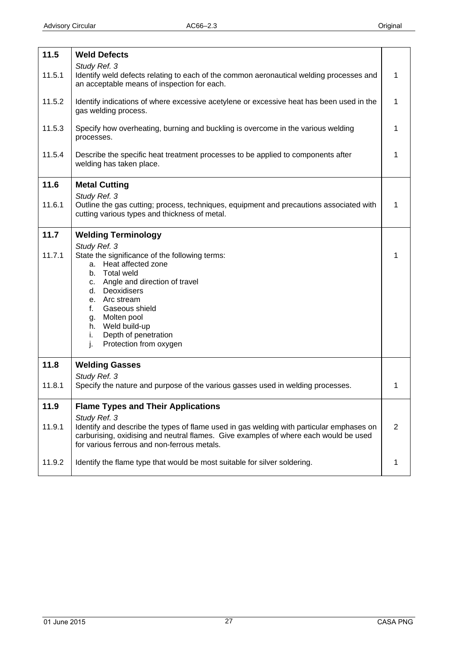<span id="page-26-0"></span>

| 11.5   | <b>Weld Defects</b>                                                                                                                                                                                                                                                                      |              |
|--------|------------------------------------------------------------------------------------------------------------------------------------------------------------------------------------------------------------------------------------------------------------------------------------------|--------------|
| 11.5.1 | Study Ref. 3<br>Identify weld defects relating to each of the common aeronautical welding processes and<br>an acceptable means of inspection for each.                                                                                                                                   | $\mathbf{1}$ |
| 11.5.2 | Identify indications of where excessive acetylene or excessive heat has been used in the<br>gas welding process.                                                                                                                                                                         | $\mathbf{1}$ |
| 11.5.3 | Specify how overheating, burning and buckling is overcome in the various welding<br>processes.                                                                                                                                                                                           | 1            |
| 11.5.4 | Describe the specific heat treatment processes to be applied to components after<br>welding has taken place.                                                                                                                                                                             | 1            |
| 11.6   | <b>Metal Cutting</b>                                                                                                                                                                                                                                                                     |              |
| 11.6.1 | Study Ref. 3<br>Outline the gas cutting; process, techniques, equipment and precautions associated with<br>cutting various types and thickness of metal.                                                                                                                                 | 1            |
| 11.7   | <b>Welding Terminology</b>                                                                                                                                                                                                                                                               |              |
| 11.7.1 | Study Ref. 3<br>State the significance of the following terms:<br>a. Heat affected zone<br><b>Total weld</b><br>b.<br>c. Angle and direction of travel<br>d. Deoxidisers<br>e. Arc stream<br>Gaseous shield<br>f.<br>Molten pool<br>g.<br>h. Weld build-up<br>Depth of penetration<br>i. | 1            |
|        | Protection from oxygen<br>j.                                                                                                                                                                                                                                                             |              |
| 11.8   | <b>Welding Gasses</b><br>Study Ref. 3                                                                                                                                                                                                                                                    |              |
| 11.8.1 | Specify the nature and purpose of the various gasses used in welding processes.                                                                                                                                                                                                          | 1            |
| 11.9   | <b>Flame Types and Their Applications</b>                                                                                                                                                                                                                                                |              |
| 11.9.1 | Study Ref. 3<br>Identify and describe the types of flame used in gas welding with particular emphases on<br>carburising, oxidising and neutral flames. Give examples of where each would be used<br>for various ferrous and non-ferrous metals.                                          | 2            |
| 11.9.2 | Identify the flame type that would be most suitable for silver soldering.                                                                                                                                                                                                                | 1            |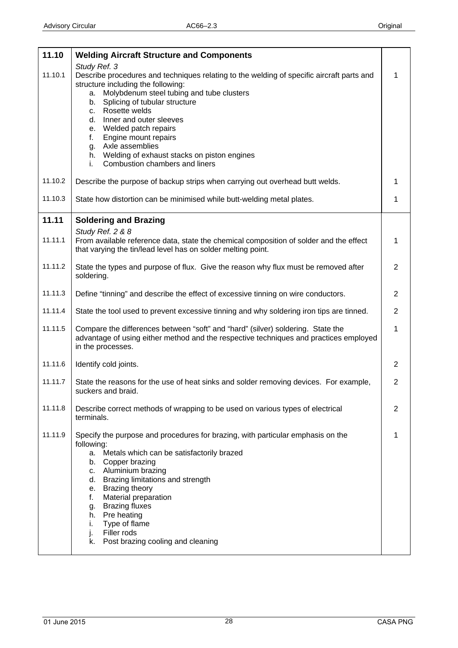<span id="page-27-0"></span>

| 11.10   | <b>Welding Aircraft Structure and Components</b>                                                                                                                                              |                |
|---------|-----------------------------------------------------------------------------------------------------------------------------------------------------------------------------------------------|----------------|
|         | Study Ref. 3                                                                                                                                                                                  |                |
| 11.10.1 | Describe procedures and techniques relating to the welding of specific aircraft parts and<br>structure including the following:                                                               | 1              |
|         | Molybdenum steel tubing and tube clusters<br>a.                                                                                                                                               |                |
|         | b. Splicing of tubular structure                                                                                                                                                              |                |
|         | c. Rosette welds<br>Inner and outer sleeves<br>d.                                                                                                                                             |                |
|         | e. Welded patch repairs                                                                                                                                                                       |                |
|         | Engine mount repairs<br>f.                                                                                                                                                                    |                |
|         | g. Axle assemblies<br>h. Welding of exhaust stacks on piston engines                                                                                                                          |                |
|         | Combustion chambers and liners<br>i.                                                                                                                                                          |                |
| 11.10.2 | Describe the purpose of backup strips when carrying out overhead butt welds.                                                                                                                  | 1              |
| 11.10.3 | State how distortion can be minimised while butt-welding metal plates.                                                                                                                        | 1              |
| 11.11   | <b>Soldering and Brazing</b>                                                                                                                                                                  |                |
| 11.11.1 | Study Ref. 2 & 8<br>From available reference data, state the chemical composition of solder and the effect<br>that varying the tin/lead level has on solder melting point.                    | 1              |
| 11.11.2 | State the types and purpose of flux. Give the reason why flux must be removed after<br>soldering.                                                                                             | $\overline{2}$ |
| 11.11.3 | Define "tinning" and describe the effect of excessive tinning on wire conductors.                                                                                                             | $\overline{2}$ |
| 11.11.4 | State the tool used to prevent excessive tinning and why soldering iron tips are tinned.                                                                                                      | $\overline{2}$ |
| 11.11.5 | Compare the differences between "soft" and "hard" (silver) soldering. State the<br>advantage of using either method and the respective techniques and practices employed<br>in the processes. | 1              |
| 11.11.6 | Identify cold joints.                                                                                                                                                                         | 2              |
| 11.11.7 | State the reasons for the use of heat sinks and solder removing devices. For example,<br>suckers and braid.                                                                                   | $\overline{2}$ |
| 11.11.8 | Describe correct methods of wrapping to be used on various types of electrical<br>terminals.                                                                                                  | 2              |
| 11.11.9 | Specify the purpose and procedures for brazing, with particular emphasis on the<br>following:                                                                                                 | 1              |
|         | a. Metals which can be satisfactorily brazed                                                                                                                                                  |                |
|         | b. Copper brazing<br>c. Aluminium brazing                                                                                                                                                     |                |
|         | d. Brazing limitations and strength                                                                                                                                                           |                |
|         | e. Brazing theory<br>Material preparation<br>f.                                                                                                                                               |                |
|         | <b>Brazing fluxes</b><br>g.                                                                                                                                                                   |                |
|         | h. Pre heating                                                                                                                                                                                |                |
|         | Type of flame<br>i.<br>Filler rods<br>j.                                                                                                                                                      |                |
|         | Post brazing cooling and cleaning<br>k.                                                                                                                                                       |                |
|         |                                                                                                                                                                                               |                |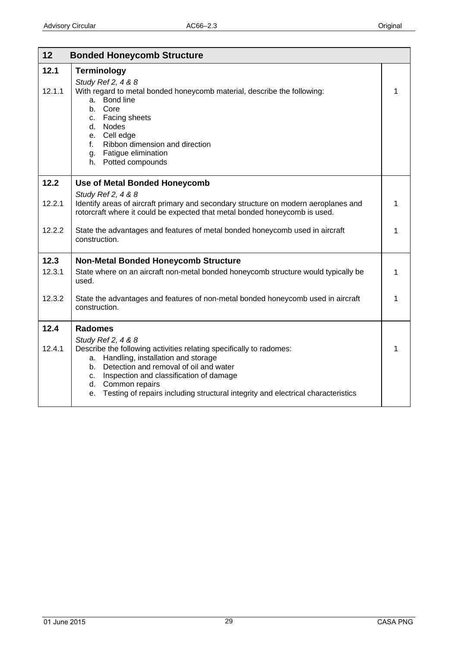<span id="page-28-0"></span>

| 12     | <b>Bonded Honeycomb Structure</b>                                                                                                                                                                                                                                                                                                               |             |
|--------|-------------------------------------------------------------------------------------------------------------------------------------------------------------------------------------------------------------------------------------------------------------------------------------------------------------------------------------------------|-------------|
| 12.1   | <b>Terminology</b><br>Study Ref 2, 4 & 8                                                                                                                                                                                                                                                                                                        |             |
| 12.1.1 | With regard to metal bonded honeycomb material, describe the following:<br><b>Bond line</b><br>a.<br>b. Core<br>Facing sheets<br>C.<br>Nodes<br>d.<br>e. Cell edge<br>Ribbon dimension and direction<br>f.<br>g. Fatigue elimination<br>h. Potted compounds                                                                                     | 1           |
| 12.2   | <b>Use of Metal Bonded Honeycomb</b>                                                                                                                                                                                                                                                                                                            |             |
| 12.2.1 | Study Ref 2, 4 & 8<br>Identify areas of aircraft primary and secondary structure on modern aeroplanes and<br>rotorcraft where it could be expected that metal bonded honeycomb is used.                                                                                                                                                         | 1           |
| 12.2.2 | State the advantages and features of metal bonded honeycomb used in aircraft<br>construction.                                                                                                                                                                                                                                                   | 1           |
| 12.3   | <b>Non-Metal Bonded Honeycomb Structure</b>                                                                                                                                                                                                                                                                                                     |             |
| 12.3.1 | State where on an aircraft non-metal bonded honeycomb structure would typically be<br>used.                                                                                                                                                                                                                                                     | 1           |
| 12.3.2 | State the advantages and features of non-metal bonded honeycomb used in aircraft<br>construction.                                                                                                                                                                                                                                               | 1           |
| 12.4   | <b>Radomes</b>                                                                                                                                                                                                                                                                                                                                  |             |
| 12.4.1 | Study Ref 2, 4 & 8<br>Describe the following activities relating specifically to radomes:<br>Handling, installation and storage<br>a.<br>b. Detection and removal of oil and water<br>c. Inspection and classification of damage<br>d. Common repairs<br>Testing of repairs including structural integrity and electrical characteristics<br>е. | $\mathbf 1$ |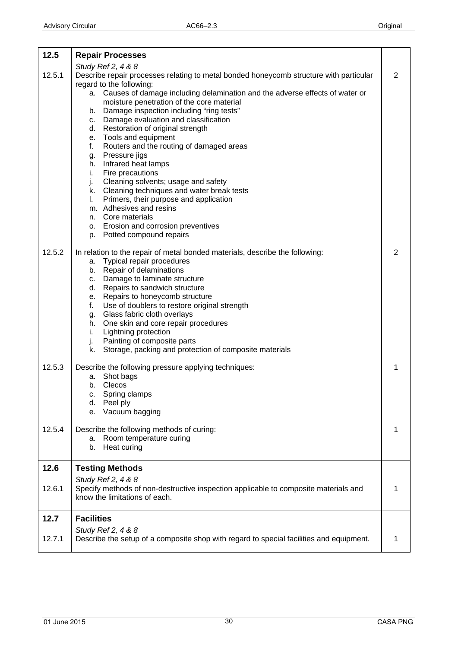<span id="page-29-0"></span>

| 12.5             | <b>Repair Processes</b>                                                                                                                                                                                                                                                                                                                                                                                                                                                                                                                                                                                                                                                                                                                                                                                                                      |        |
|------------------|----------------------------------------------------------------------------------------------------------------------------------------------------------------------------------------------------------------------------------------------------------------------------------------------------------------------------------------------------------------------------------------------------------------------------------------------------------------------------------------------------------------------------------------------------------------------------------------------------------------------------------------------------------------------------------------------------------------------------------------------------------------------------------------------------------------------------------------------|--------|
| 12.5.1           | Study Ref 2, 4 & 8<br>Describe repair processes relating to metal bonded honeycomb structure with particular<br>regard to the following:<br>a. Causes of damage including delamination and the adverse effects of water or<br>moisture penetration of the core material<br>b. Damage inspection including "ring tests"<br>c. Damage evaluation and classification<br>d. Restoration of original strength<br>e. Tools and equipment<br>Routers and the routing of damaged areas<br>f.<br>Pressure jigs<br>g.<br>h. Infrared heat lamps<br>Fire precautions<br>i.<br>j.<br>Cleaning solvents; usage and safety<br>k. Cleaning techniques and water break tests<br>Primers, their purpose and application<br>$\mathbf{L}$<br>m. Adhesives and resins<br>n. Core materials<br>o. Erosion and corrosion preventives<br>p. Potted compound repairs | 2      |
| 12.5.2           | In relation to the repair of metal bonded materials, describe the following:<br>a. Typical repair procedures<br>b. Repair of delaminations<br>c. Damage to laminate structure<br>d. Repairs to sandwich structure<br>e. Repairs to honeycomb structure<br>Use of doublers to restore original strength<br>f.<br>g. Glass fabric cloth overlays<br>h. One skin and core repair procedures<br>Lightning protection<br>i.<br>j.<br>Painting of composite parts<br>Storage, packing and protection of composite materials<br>k.                                                                                                                                                                                                                                                                                                                  | 2      |
| 12.5.3<br>12.5.4 | Describe the following pressure applying techniques:<br>Shot bags<br>а.<br>Clecos<br>b.<br>Spring clamps<br>C.<br>Peel ply<br>d.<br>Vacuum bagging<br>е.<br>Describe the following methods of curing:                                                                                                                                                                                                                                                                                                                                                                                                                                                                                                                                                                                                                                        | 1<br>1 |
|                  | a. Room temperature curing<br>Heat curing<br>b.                                                                                                                                                                                                                                                                                                                                                                                                                                                                                                                                                                                                                                                                                                                                                                                              |        |
| 12.6             | <b>Testing Methods</b>                                                                                                                                                                                                                                                                                                                                                                                                                                                                                                                                                                                                                                                                                                                                                                                                                       |        |
| 12.6.1           | Study Ref 2, 4 & 8<br>Specify methods of non-destructive inspection applicable to composite materials and<br>know the limitations of each.                                                                                                                                                                                                                                                                                                                                                                                                                                                                                                                                                                                                                                                                                                   | 1      |
| 12.7             | <b>Facilities</b>                                                                                                                                                                                                                                                                                                                                                                                                                                                                                                                                                                                                                                                                                                                                                                                                                            |        |
| 12.7.1           | Study Ref 2, 4 & 8<br>Describe the setup of a composite shop with regard to special facilities and equipment.                                                                                                                                                                                                                                                                                                                                                                                                                                                                                                                                                                                                                                                                                                                                | 1      |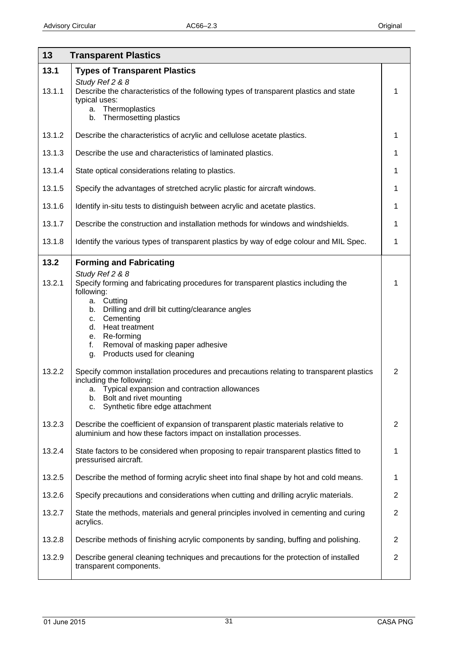<span id="page-30-0"></span>

| 13     | <b>Transparent Plastics</b>                                                                                                                                                                                                                      |                |
|--------|--------------------------------------------------------------------------------------------------------------------------------------------------------------------------------------------------------------------------------------------------|----------------|
| 13.1   | <b>Types of Transparent Plastics</b>                                                                                                                                                                                                             |                |
| 13.1.1 | Study Ref 2 & 8<br>Describe the characteristics of the following types of transparent plastics and state<br>typical uses:<br>a. Thermoplastics<br>Thermosetting plastics<br>b.                                                                   | 1              |
| 13.1.2 | Describe the characteristics of acrylic and cellulose acetate plastics.                                                                                                                                                                          | 1              |
| 13.1.3 | Describe the use and characteristics of laminated plastics.                                                                                                                                                                                      | 1              |
| 13.1.4 | State optical considerations relating to plastics.                                                                                                                                                                                               | 1              |
| 13.1.5 | Specify the advantages of stretched acrylic plastic for aircraft windows.                                                                                                                                                                        | 1              |
| 13.1.6 | Identify in-situ tests to distinguish between acrylic and acetate plastics.                                                                                                                                                                      | 1              |
| 13.1.7 | Describe the construction and installation methods for windows and windshields.                                                                                                                                                                  | 1              |
| 13.1.8 | Identify the various types of transparent plastics by way of edge colour and MIL Spec.                                                                                                                                                           | 1              |
| 13.2   | <b>Forming and Fabricating</b>                                                                                                                                                                                                                   |                |
| 13.2.1 | Study Ref 2 & 8<br>Specify forming and fabricating procedures for transparent plastics including the<br>following:<br>a. Cutting                                                                                                                 | 1              |
|        | Drilling and drill bit cutting/clearance angles<br>b.<br>Cementing<br>C.<br>Heat treatment<br>d.<br>e. Re-forming<br>Removal of masking paper adhesive<br>f.<br>Products used for cleaning<br>g.                                                 |                |
| 13.2.2 | Specify common installation procedures and precautions relating to transparent plastics<br>including the following:<br>a. Typical expansion and contraction allowances<br>Bolt and rivet mounting<br>b.<br>Synthetic fibre edge attachment<br>c. | $\overline{2}$ |
| 13.2.3 | Describe the coefficient of expansion of transparent plastic materials relative to<br>aluminium and how these factors impact on installation processes.                                                                                          | $\overline{2}$ |
| 13.2.4 | State factors to be considered when proposing to repair transparent plastics fitted to<br>pressurised aircraft.                                                                                                                                  | 1              |
| 13.2.5 | Describe the method of forming acrylic sheet into final shape by hot and cold means.                                                                                                                                                             | 1              |
| 13.2.6 | Specify precautions and considerations when cutting and drilling acrylic materials.                                                                                                                                                              | $\overline{2}$ |
| 13.2.7 | State the methods, materials and general principles involved in cementing and curing<br>acrylics.                                                                                                                                                | $\overline{2}$ |
| 13.2.8 | Describe methods of finishing acrylic components by sanding, buffing and polishing.                                                                                                                                                              | $\overline{2}$ |
| 13.2.9 | Describe general cleaning techniques and precautions for the protection of installed<br>transparent components.                                                                                                                                  | $\overline{c}$ |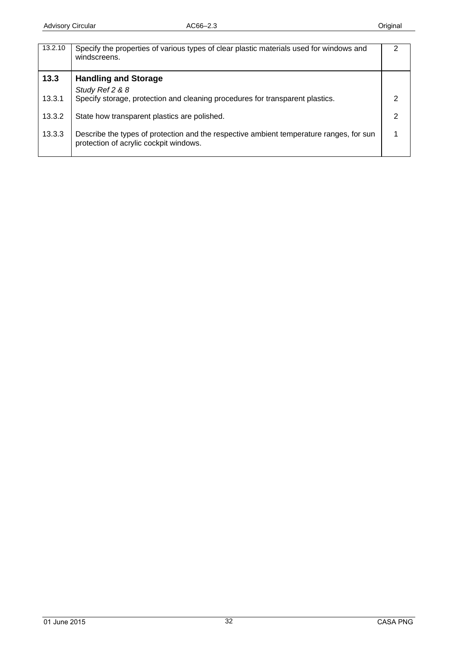<span id="page-31-0"></span>

| 13.2.10 | Specify the properties of various types of clear plastic materials used for windows and<br>windscreens.                           | າ |
|---------|-----------------------------------------------------------------------------------------------------------------------------------|---|
| 13.3    | <b>Handling and Storage</b>                                                                                                       |   |
|         | Study Ref 2 & 8                                                                                                                   |   |
| 13.3.1  | Specify storage, protection and cleaning procedures for transparent plastics.                                                     |   |
| 13.3.2  | State how transparent plastics are polished.                                                                                      |   |
| 13.3.3  | Describe the types of protection and the respective ambient temperature ranges, for sun<br>protection of acrylic cockpit windows. |   |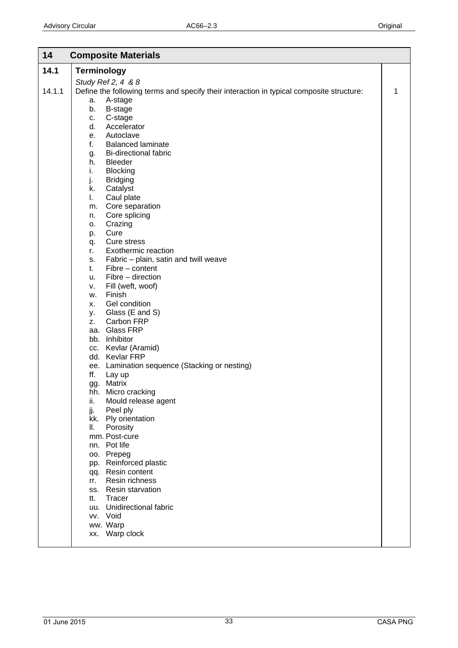<span id="page-32-0"></span>

| 14.1<br><b>Terminology</b><br>Study Ref 2, 4 & 8<br>14.1.1<br>Define the following terms and specify their interaction in typical composite structure:<br>1<br>A-stage<br>а.<br>B-stage<br>b.<br>C-stage<br>c.<br>d.<br>Accelerator<br>Autoclave<br>е.<br>f.<br><b>Balanced laminate</b><br>Bi-directional fabric<br>g.<br><b>Bleeder</b><br>h.<br>i.<br><b>Blocking</b><br>j.<br><b>Bridging</b><br>Catalyst<br>k.<br>L.<br>Caul plate<br>Core separation<br>m.<br>Core splicing<br>n.<br>Crazing<br>о.<br>Cure<br>p.<br>Cure stress<br>q.<br>Exothermic reaction<br>r.<br>Fabric - plain, satin and twill weave<br>s.<br>$Fibre - content$<br>t.<br>Fibre - direction<br>u.<br>Fill (weft, woof)<br>v.<br>Finish<br>w.<br>Gel condition<br>х.<br>Glass (E and S)<br>у.<br>Carbon FRP<br>Z.<br>aa. Glass FRP<br>bb. Inhibitor<br>cc. Kevlar (Aramid)<br>dd. Kevlar FRP<br>ee. Lamination sequence (Stacking or nesting)<br>ff.<br>Lay up<br>Matrix<br>gg.<br>hh. Micro cracking<br>ii.<br>Mould release agent |
|----------------------------------------------------------------------------------------------------------------------------------------------------------------------------------------------------------------------------------------------------------------------------------------------------------------------------------------------------------------------------------------------------------------------------------------------------------------------------------------------------------------------------------------------------------------------------------------------------------------------------------------------------------------------------------------------------------------------------------------------------------------------------------------------------------------------------------------------------------------------------------------------------------------------------------------------------------------------------------------------------------------|
|                                                                                                                                                                                                                                                                                                                                                                                                                                                                                                                                                                                                                                                                                                                                                                                                                                                                                                                                                                                                                |
|                                                                                                                                                                                                                                                                                                                                                                                                                                                                                                                                                                                                                                                                                                                                                                                                                                                                                                                                                                                                                |
|                                                                                                                                                                                                                                                                                                                                                                                                                                                                                                                                                                                                                                                                                                                                                                                                                                                                                                                                                                                                                |
|                                                                                                                                                                                                                                                                                                                                                                                                                                                                                                                                                                                                                                                                                                                                                                                                                                                                                                                                                                                                                |
|                                                                                                                                                                                                                                                                                                                                                                                                                                                                                                                                                                                                                                                                                                                                                                                                                                                                                                                                                                                                                |
|                                                                                                                                                                                                                                                                                                                                                                                                                                                                                                                                                                                                                                                                                                                                                                                                                                                                                                                                                                                                                |
|                                                                                                                                                                                                                                                                                                                                                                                                                                                                                                                                                                                                                                                                                                                                                                                                                                                                                                                                                                                                                |
|                                                                                                                                                                                                                                                                                                                                                                                                                                                                                                                                                                                                                                                                                                                                                                                                                                                                                                                                                                                                                |
|                                                                                                                                                                                                                                                                                                                                                                                                                                                                                                                                                                                                                                                                                                                                                                                                                                                                                                                                                                                                                |
|                                                                                                                                                                                                                                                                                                                                                                                                                                                                                                                                                                                                                                                                                                                                                                                                                                                                                                                                                                                                                |
|                                                                                                                                                                                                                                                                                                                                                                                                                                                                                                                                                                                                                                                                                                                                                                                                                                                                                                                                                                                                                |
|                                                                                                                                                                                                                                                                                                                                                                                                                                                                                                                                                                                                                                                                                                                                                                                                                                                                                                                                                                                                                |
|                                                                                                                                                                                                                                                                                                                                                                                                                                                                                                                                                                                                                                                                                                                                                                                                                                                                                                                                                                                                                |
|                                                                                                                                                                                                                                                                                                                                                                                                                                                                                                                                                                                                                                                                                                                                                                                                                                                                                                                                                                                                                |
|                                                                                                                                                                                                                                                                                                                                                                                                                                                                                                                                                                                                                                                                                                                                                                                                                                                                                                                                                                                                                |
|                                                                                                                                                                                                                                                                                                                                                                                                                                                                                                                                                                                                                                                                                                                                                                                                                                                                                                                                                                                                                |
|                                                                                                                                                                                                                                                                                                                                                                                                                                                                                                                                                                                                                                                                                                                                                                                                                                                                                                                                                                                                                |
|                                                                                                                                                                                                                                                                                                                                                                                                                                                                                                                                                                                                                                                                                                                                                                                                                                                                                                                                                                                                                |
|                                                                                                                                                                                                                                                                                                                                                                                                                                                                                                                                                                                                                                                                                                                                                                                                                                                                                                                                                                                                                |
|                                                                                                                                                                                                                                                                                                                                                                                                                                                                                                                                                                                                                                                                                                                                                                                                                                                                                                                                                                                                                |
|                                                                                                                                                                                                                                                                                                                                                                                                                                                                                                                                                                                                                                                                                                                                                                                                                                                                                                                                                                                                                |
|                                                                                                                                                                                                                                                                                                                                                                                                                                                                                                                                                                                                                                                                                                                                                                                                                                                                                                                                                                                                                |
|                                                                                                                                                                                                                                                                                                                                                                                                                                                                                                                                                                                                                                                                                                                                                                                                                                                                                                                                                                                                                |
|                                                                                                                                                                                                                                                                                                                                                                                                                                                                                                                                                                                                                                                                                                                                                                                                                                                                                                                                                                                                                |
|                                                                                                                                                                                                                                                                                                                                                                                                                                                                                                                                                                                                                                                                                                                                                                                                                                                                                                                                                                                                                |
|                                                                                                                                                                                                                                                                                                                                                                                                                                                                                                                                                                                                                                                                                                                                                                                                                                                                                                                                                                                                                |
|                                                                                                                                                                                                                                                                                                                                                                                                                                                                                                                                                                                                                                                                                                                                                                                                                                                                                                                                                                                                                |
|                                                                                                                                                                                                                                                                                                                                                                                                                                                                                                                                                                                                                                                                                                                                                                                                                                                                                                                                                                                                                |
|                                                                                                                                                                                                                                                                                                                                                                                                                                                                                                                                                                                                                                                                                                                                                                                                                                                                                                                                                                                                                |
|                                                                                                                                                                                                                                                                                                                                                                                                                                                                                                                                                                                                                                                                                                                                                                                                                                                                                                                                                                                                                |
|                                                                                                                                                                                                                                                                                                                                                                                                                                                                                                                                                                                                                                                                                                                                                                                                                                                                                                                                                                                                                |
|                                                                                                                                                                                                                                                                                                                                                                                                                                                                                                                                                                                                                                                                                                                                                                                                                                                                                                                                                                                                                |
|                                                                                                                                                                                                                                                                                                                                                                                                                                                                                                                                                                                                                                                                                                                                                                                                                                                                                                                                                                                                                |
|                                                                                                                                                                                                                                                                                                                                                                                                                                                                                                                                                                                                                                                                                                                                                                                                                                                                                                                                                                                                                |
|                                                                                                                                                                                                                                                                                                                                                                                                                                                                                                                                                                                                                                                                                                                                                                                                                                                                                                                                                                                                                |
|                                                                                                                                                                                                                                                                                                                                                                                                                                                                                                                                                                                                                                                                                                                                                                                                                                                                                                                                                                                                                |
|                                                                                                                                                                                                                                                                                                                                                                                                                                                                                                                                                                                                                                                                                                                                                                                                                                                                                                                                                                                                                |
| jj.<br>Peel ply                                                                                                                                                                                                                                                                                                                                                                                                                                                                                                                                                                                                                                                                                                                                                                                                                                                                                                                                                                                                |
| kk. Ply orientation                                                                                                                                                                                                                                                                                                                                                                                                                                                                                                                                                                                                                                                                                                                                                                                                                                                                                                                                                                                            |
| Ⅱ.<br>Porosity                                                                                                                                                                                                                                                                                                                                                                                                                                                                                                                                                                                                                                                                                                                                                                                                                                                                                                                                                                                                 |
| mm. Post-cure                                                                                                                                                                                                                                                                                                                                                                                                                                                                                                                                                                                                                                                                                                                                                                                                                                                                                                                                                                                                  |
| nn. Pot life                                                                                                                                                                                                                                                                                                                                                                                                                                                                                                                                                                                                                                                                                                                                                                                                                                                                                                                                                                                                   |
| oo. Prepeg                                                                                                                                                                                                                                                                                                                                                                                                                                                                                                                                                                                                                                                                                                                                                                                                                                                                                                                                                                                                     |
| pp. Reinforced plastic                                                                                                                                                                                                                                                                                                                                                                                                                                                                                                                                                                                                                                                                                                                                                                                                                                                                                                                                                                                         |
| qq. Resin content                                                                                                                                                                                                                                                                                                                                                                                                                                                                                                                                                                                                                                                                                                                                                                                                                                                                                                                                                                                              |
| Resin richness<br>rr.                                                                                                                                                                                                                                                                                                                                                                                                                                                                                                                                                                                                                                                                                                                                                                                                                                                                                                                                                                                          |
| ss. Resin starvation                                                                                                                                                                                                                                                                                                                                                                                                                                                                                                                                                                                                                                                                                                                                                                                                                                                                                                                                                                                           |
| Tracer<br>tt.<br>uu. Unidirectional fabric                                                                                                                                                                                                                                                                                                                                                                                                                                                                                                                                                                                                                                                                                                                                                                                                                                                                                                                                                                     |
| vv. Void                                                                                                                                                                                                                                                                                                                                                                                                                                                                                                                                                                                                                                                                                                                                                                                                                                                                                                                                                                                                       |
| ww. Warp                                                                                                                                                                                                                                                                                                                                                                                                                                                                                                                                                                                                                                                                                                                                                                                                                                                                                                                                                                                                       |
| xx. Warp clock                                                                                                                                                                                                                                                                                                                                                                                                                                                                                                                                                                                                                                                                                                                                                                                                                                                                                                                                                                                                 |
|                                                                                                                                                                                                                                                                                                                                                                                                                                                                                                                                                                                                                                                                                                                                                                                                                                                                                                                                                                                                                |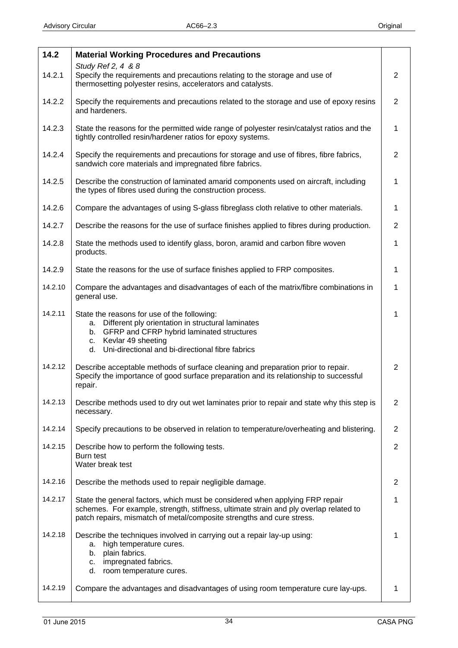<span id="page-33-0"></span>

| 14.2    | <b>Material Working Procedures and Precautions</b>                                                                                                                                                                                              |                |
|---------|-------------------------------------------------------------------------------------------------------------------------------------------------------------------------------------------------------------------------------------------------|----------------|
| 14.2.1  | Study Ref 2, 4 & 8<br>Specify the requirements and precautions relating to the storage and use of<br>thermosetting polyester resins, accelerators and catalysts.                                                                                | 2              |
| 14.2.2  | Specify the requirements and precautions related to the storage and use of epoxy resins<br>and hardeners.                                                                                                                                       | $\overline{2}$ |
| 14.2.3  | State the reasons for the permitted wide range of polyester resin/catalyst ratios and the<br>tightly controlled resin/hardener ratios for epoxy systems.                                                                                        | 1              |
| 14.2.4  | Specify the requirements and precautions for storage and use of fibres, fibre fabrics,<br>sandwich core materials and impregnated fibre fabrics.                                                                                                | $\overline{2}$ |
| 14.2.5  | Describe the construction of laminated amarid components used on aircraft, including<br>the types of fibres used during the construction process.                                                                                               | 1              |
| 14.2.6  | Compare the advantages of using S-glass fibreglass cloth relative to other materials.                                                                                                                                                           | 1              |
| 14.2.7  | Describe the reasons for the use of surface finishes applied to fibres during production.                                                                                                                                                       | $\overline{2}$ |
| 14.2.8  | State the methods used to identify glass, boron, aramid and carbon fibre woven<br>products.                                                                                                                                                     | $\mathbf{1}$   |
| 14.2.9  | State the reasons for the use of surface finishes applied to FRP composites.                                                                                                                                                                    | 1              |
| 14.2.10 | Compare the advantages and disadvantages of each of the matrix/fibre combinations in<br>general use.                                                                                                                                            | 1              |
| 14.2.11 | State the reasons for use of the following:<br>Different ply orientation in structural laminates<br>a.<br>GFRP and CFRP hybrid laminated structures<br>b.<br>Kevlar 49 sheeting<br>C.<br>Uni-directional and bi-directional fibre fabrics<br>d. | 1              |
| 14.2.12 | Describe acceptable methods of surface cleaning and preparation prior to repair.<br>Specify the importance of good surface preparation and its relationship to successful<br>repair.                                                            | $\overline{2}$ |
| 14.2.13 | Describe methods used to dry out wet laminates prior to repair and state why this step is<br>necessary.                                                                                                                                         | 2              |
| 14.2.14 | Specify precautions to be observed in relation to temperature/overheating and blistering.                                                                                                                                                       | $\overline{2}$ |
| 14.2.15 | Describe how to perform the following tests.<br>Burn test<br>Water break test                                                                                                                                                                   | $\overline{2}$ |
| 14.2.16 | Describe the methods used to repair negligible damage.                                                                                                                                                                                          | $\overline{2}$ |
| 14.2.17 | State the general factors, which must be considered when applying FRP repair<br>schemes. For example, strength, stiffness, ultimate strain and ply overlap related to<br>patch repairs, mismatch of metal/composite strengths and cure stress.  | 1              |
| 14.2.18 | Describe the techniques involved in carrying out a repair lay-up using:<br>high temperature cures.<br>а.<br>plain fabrics.<br>b.<br>impregnated fabrics.<br>c.<br>room temperature cures.<br>d.                                                 | 1              |
| 14.2.19 | Compare the advantages and disadvantages of using room temperature cure lay-ups.                                                                                                                                                                | 1              |